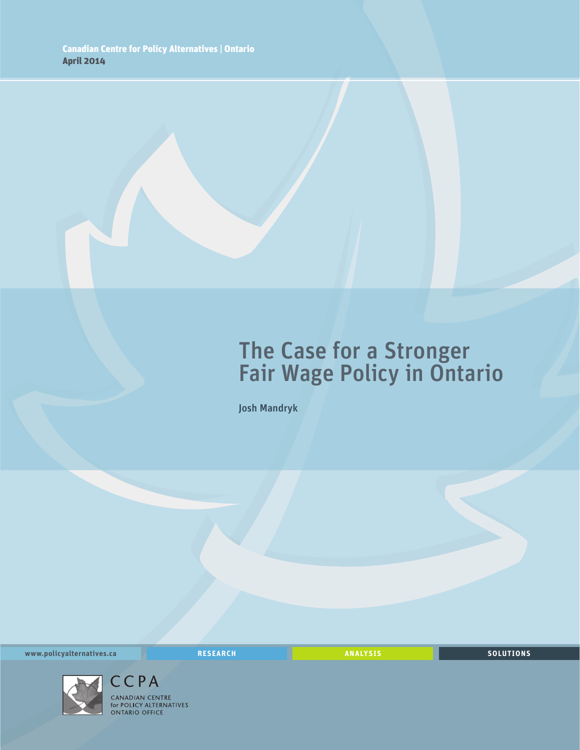## The Case for a Stronger Fair Wage Policy in Ontario

Josh Mandryk

**www.policyalternatives.ca** <mark>RESEARCH</mark> ANALYSIS SOLUTIONS



CCPA CANADIAN CENTRE **EXIMPINY CENTRE**<br> **STATE OF POLICY ALTERNATIVES**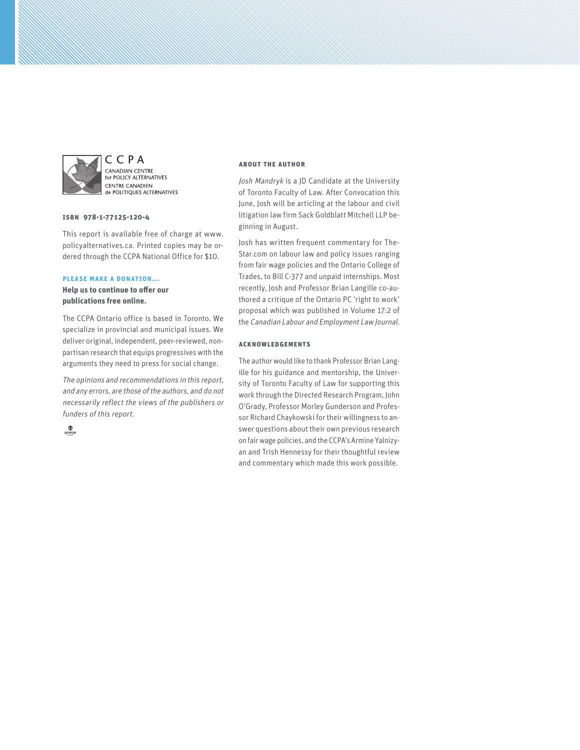

CCPA CANADIAN CENTRE **EXEMPLIER CERVINE**<br>for POLICY ALTERNATIVES **CENTRE CANADIEN** de POLITIQUES ALTERNATIVES

#### **ISBN 978-1-77125-120-4**

This report is available free of charge at www. policyalternatives.ca. Printed copies may be ordered through the CCPA National Office for \$10.

#### **Please make a donation...**

**Help us to continue to offer our publications free online.**

The CCPA Ontario office is based in Toronto. We specialize in provincial and municipal issues. We deliver original, independent, peer-reviewed, nonpartisan research that equips progressives with the arguments they need to press for social change.

The opinions and recommendations in this report, and any errors, are those of the authors, and do not necessarily reflect the views of the publishers or funders of this report.



#### **About the author**

Josh Mandryk is a JD Candidate at the University of Toronto Faculty of Law. After Convocation this June, Josh will be articling at the labour and civil litigation law firm Sack Goldblatt Mitchell LLP beginning in August.

Josh has written frequent commentary for The-Star.com on labour law and policy issues ranging from fair wage policies and the Ontario College of Trades, to Bill C-377 and unpaid internships. Most recently, Josh and Professor Brian Langille co-authored a critique of the Ontario PC 'right to work' proposal which was published in Volume 17:2 of the Canadian Labour and Employment Law Journal.

#### **Acknowledgements**

The author would like to thank Professor Brian Langille for his guidance and mentorship, the University of Toronto Faculty of Law for supporting this work through the Directed Research Program, John O'Grady, Professor Morley Gunderson and Professor Richard Chaykowski for their willingness to answer questions about their own previous research on fair wage policies, and the CCPA's Armine Yalnizyan and Trish Hennessy for their thoughtful review and commentary which made this work possible.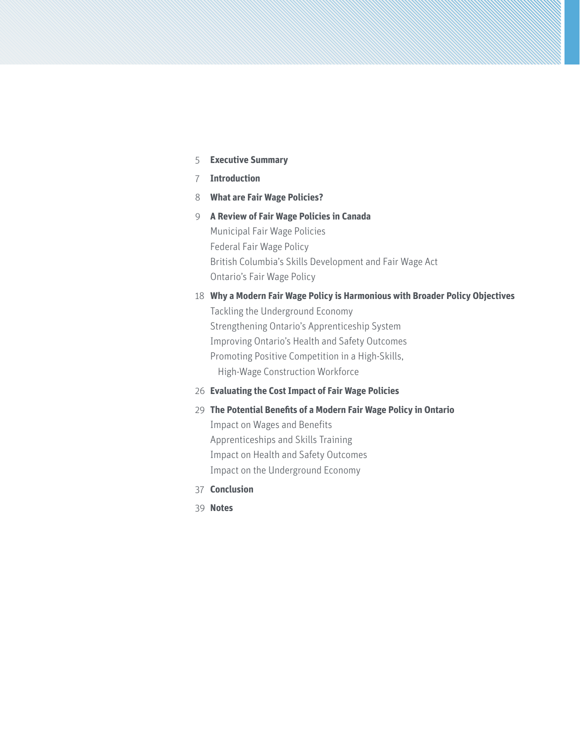- 5 **Executive Summary**
- 7 **Introduction**
- 8 **What are Fair Wage Policies?**
- 9 **A Review of Fair Wage Policies in Canada**  Municipal Fair Wage Policies Federal Fair Wage Policy British Columbia's Skills Development and Fair Wage Act Ontario's Fair Wage Policy
- 18 **Why a Modern Fair Wage Policy is Harmonious with Broader Policy Objectives**  Tackling the Underground Economy Strengthening Ontario's Apprenticeship System Improving Ontario's Health and Safety Outcomes Promoting Positive Competition in a High-Skills, High-Wage Construction Workforce
- 26 **Evaluating the Cost Impact of Fair Wage Policies**

#### 29 **The Potential Benefits of a Modern Fair Wage Policy in Ontario**

Impact on Wages and Benefits Apprenticeships and Skills Training Impact on Health and Safety Outcomes Impact on the Underground Economy

- 37 **Conclusion**
- 39 **Notes**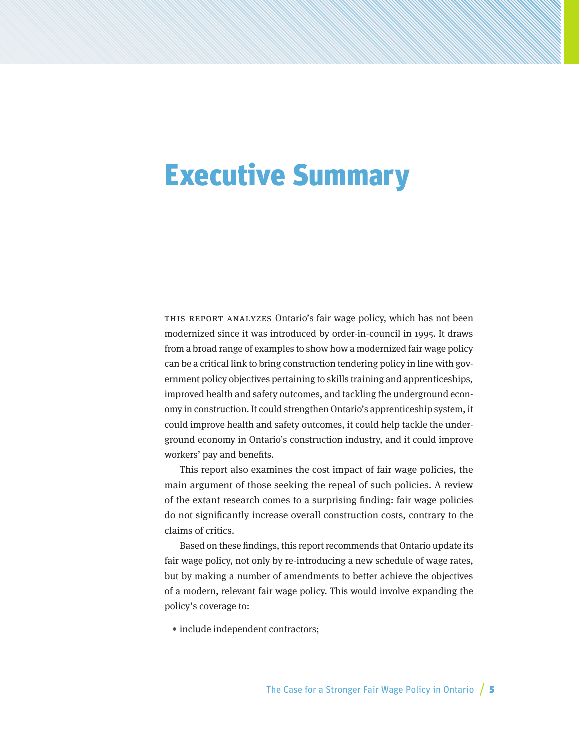# Executive Summary

This report analyzes Ontario's fair wage policy, which has not been modernized since it was introduced by order-in-council in 1995. It draws from a broad range of examples to show how a modernized fair wage policy can be a critical link to bring construction tendering policy in line with government policy objectives pertaining to skills training and apprenticeships, improved health and safety outcomes, and tackling the underground economy in construction. It could strengthen Ontario's apprenticeship system, it could improve health and safety outcomes, it could help tackle the underground economy in Ontario's construction industry, and it could improve workers' pay and benefits.

This report also examines the cost impact of fair wage policies, the main argument of those seeking the repeal of such policies. A review of the extant research comes to a surprising finding: fair wage policies do not significantly increase overall construction costs, contrary to the claims of critics.

Based on these findings, this report recommends that Ontario update its fair wage policy, not only by re-introducing a new schedule of wage rates, but by making a number of amendments to better achieve the objectives of a modern, relevant fair wage policy. This would involve expanding the policy's coverage to:

• include independent contractors;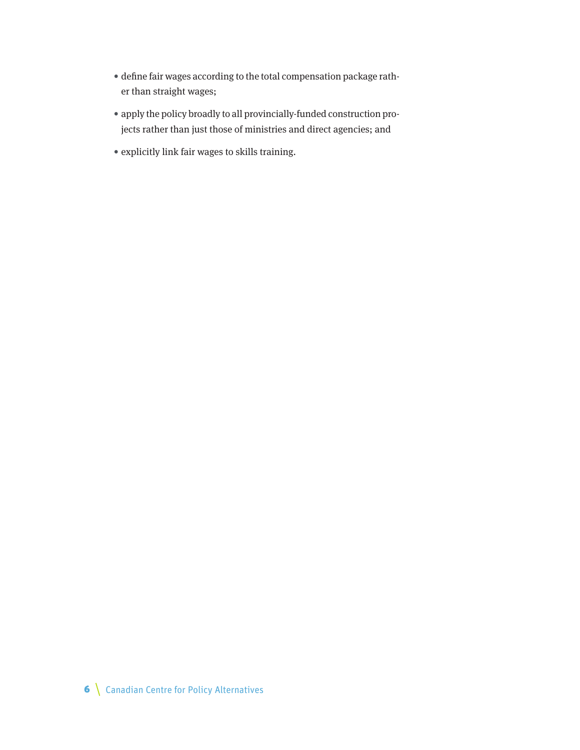- • define fair wages according to the total compensation package rather than straight wages;
- • apply the policy broadly to all provincially-funded construction projects rather than just those of ministries and direct agencies; and
- • explicitly link fair wages to skills training.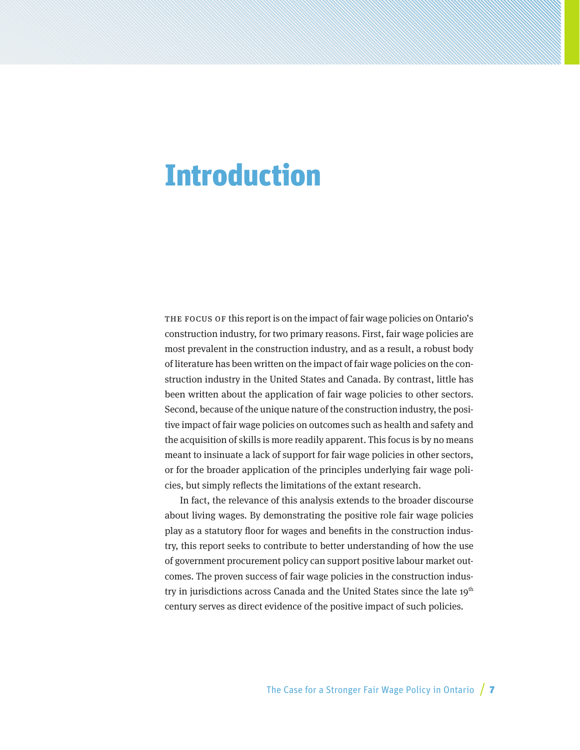## **Introduction**

The focus of this report is on the impact of fair wage policies on Ontario's construction industry, for two primary reasons. First, fair wage policies are most prevalent in the construction industry, and as a result, a robust body of literature has been written on the impact of fair wage policies on the construction industry in the United States and Canada. By contrast, little has been written about the application of fair wage policies to other sectors. Second, because of the unique nature of the construction industry, the positive impact of fair wage policies on outcomes such as health and safety and the acquisition of skills is more readily apparent. This focus is by no means meant to insinuate a lack of support for fair wage policies in other sectors, or for the broader application of the principles underlying fair wage policies, but simply reflects the limitations of the extant research.

In fact, the relevance of this analysis extends to the broader discourse about living wages. By demonstrating the positive role fair wage policies play as a statutory floor for wages and benefits in the construction industry, this report seeks to contribute to better understanding of how the use of government procurement policy can support positive labour market outcomes. The proven success of fair wage policies in the construction industry in jurisdictions across Canada and the United States since the late 19th century serves as direct evidence of the positive impact of such policies.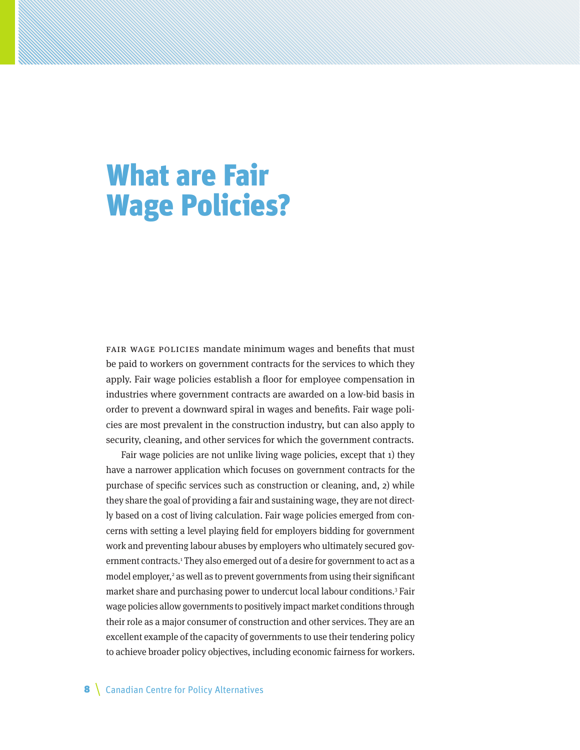## What are Fair Wage Policies?

FAIR WAGE POLICIES mandate minimum wages and benefits that must be paid to workers on government contracts for the services to which they apply. Fair wage policies establish a floor for employee compensation in industries where government contracts are awarded on a low-bid basis in order to prevent a downward spiral in wages and benefits. Fair wage policies are most prevalent in the construction industry, but can also apply to security, cleaning, and other services for which the government contracts.

Fair wage policies are not unlike living wage policies, except that 1) they have a narrower application which focuses on government contracts for the purchase of specific services such as construction or cleaning, and, 2) while they share the goal of providing a fair and sustaining wage, they are not directly based on a cost of living calculation. Fair wage policies emerged from concerns with setting a level playing field for employers bidding for government work and preventing labour abuses by employers who ultimately secured government contracts.1 They also emerged out of a desire for government to act as a model employer,<sup>2</sup> as well as to prevent governments from using their significant market share and purchasing power to undercut local labour conditions.3 Fair wage policies allow governments to positively impact market conditions through their role as a major consumer of construction and other services. They are an excellent example of the capacity of governments to use their tendering policy to achieve broader policy objectives, including economic fairness for workers.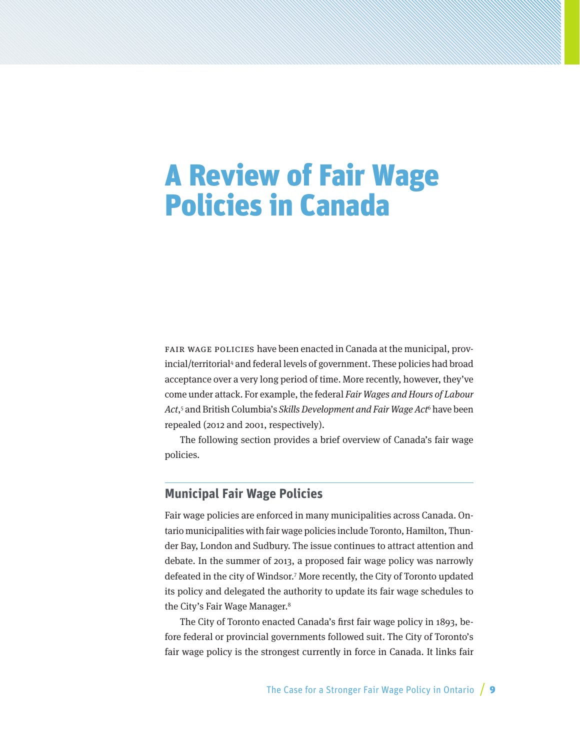# A Review of Fair Wage Policies in Canada

Fair wage policies have been enacted in Canada at the municipal, provincial/territorial<sup>4</sup> and federal levels of government. These policies had broad acceptance over a very long period of time. More recently, however, they've come under attack. For example, the federal Fair Wages and Hours of Labour Act,<sup>5</sup> and British Columbia's Skills Development and Fair Wage Act<sup>6</sup> have been repealed (2012 and 2001, respectively).

The following section provides a brief overview of Canada's fair wage policies.

### **Municipal Fair Wage Policies**

Fair wage policies are enforced in many municipalities across Canada. Ontario municipalities with fair wage policies include Toronto, Hamilton, Thunder Bay, London and Sudbury. The issue continues to attract attention and debate. In the summer of 2013, a proposed fair wage policy was narrowly defeated in the city of Windsor.7 More recently, the City of Toronto updated its policy and delegated the authority to update its fair wage schedules to the City's Fair Wage Manager.8

The City of Toronto enacted Canada's first fair wage policy in 1893, before federal or provincial governments followed suit. The City of Toronto's fair wage policy is the strongest currently in force in Canada. It links fair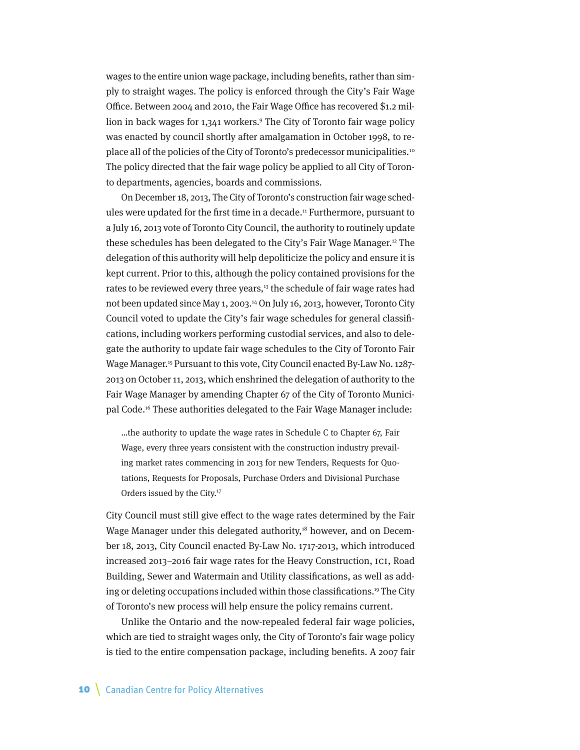wages to the entire union wage package, including benefits, rather than simply to straight wages. The policy is enforced through the City's Fair Wage Office. Between 2004 and 2010, the Fair Wage Office has recovered \$1.2 million in back wages for 1,341 workers.<sup>9</sup> The City of Toronto fair wage policy was enacted by council shortly after amalgamation in October 1998, to replace all of the policies of the City of Toronto's predecessor municipalities.10 The policy directed that the fair wage policy be applied to all City of Toronto departments, agencies, boards and commissions.

On December 18, 2013, The City of Toronto's construction fair wage schedules were updated for the first time in a decade.<sup>11</sup> Furthermore, pursuant to a July 16, 2013 vote of Toronto City Council, the authority to routinely update these schedules has been delegated to the City's Fair Wage Manager.12 The delegation of this authority will help depoliticize the policy and ensure it is kept current. Prior to this, although the policy contained provisions for the rates to be reviewed every three years,<sup>13</sup> the schedule of fair wage rates had not been updated since May 1, 2003.14 On July 16, 2013, however, Toronto City Council voted to update the City's fair wage schedules for general classifications, including workers performing custodial services, and also to delegate the authority to update fair wage schedules to the City of Toronto Fair Wage Manager.15 Pursuant to this vote, City Council enacted By-Law No. 1287- 2013 on October 11, 2013, which enshrined the delegation of authority to the Fair Wage Manager by amending Chapter 67 of the City of Toronto Municipal Code.16 These authorities delegated to the Fair Wage Manager include:

…the authority to update the wage rates in Schedule C to Chapter 67, Fair Wage, every three years consistent with the construction industry prevailing market rates commencing in 2013 for new Tenders, Requests for Quotations, Requests for Proposals, Purchase Orders and Divisional Purchase Orders issued by the City.<sup>17</sup>

City Council must still give effect to the wage rates determined by the Fair Wage Manager under this delegated authority,<sup>18</sup> however, and on December 18, 2013, City Council enacted By-Law No. 1717-2013, which introduced increased 2013–2016 fair wage rates for the Heavy Construction, ICI, Road Building, Sewer and Watermain and Utility classifications, as well as adding or deleting occupations included within those classifications.19 The City of Toronto's new process will help ensure the policy remains current.

Unlike the Ontario and the now-repealed federal fair wage policies, which are tied to straight wages only, the City of Toronto's fair wage policy is tied to the entire compensation package, including benefits. A 2007 fair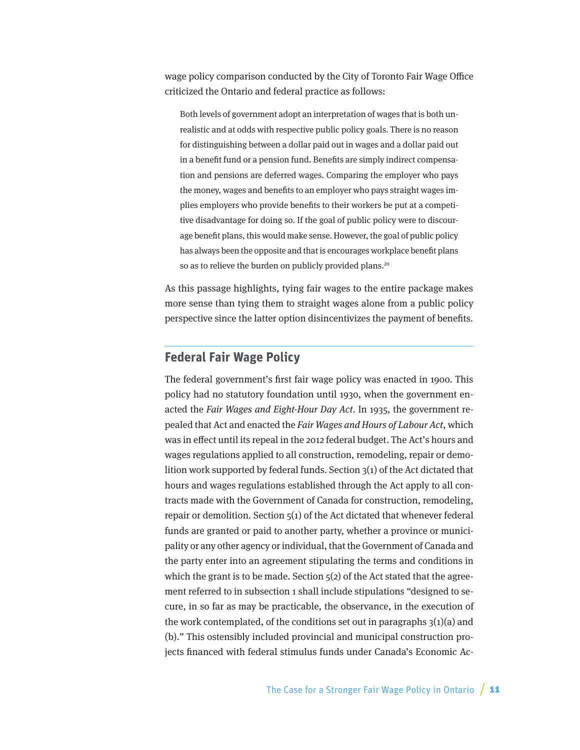wage policy comparison conducted by the City of Toronto Fair Wage Office criticized the Ontario and federal practice as follows:

Both levels of government adopt an interpretation of wages that is both unrealistic and at odds with respective public policy goals. There is no reason for distinguishing between a dollar paid out in wages and a dollar paid out in a benefit fund or a pension fund. Benefits are simply indirect compensation and pensions are deferred wages. Comparing the employer who pays the money, wages and benefits to an employer who pays straight wages implies employers who provide benefits to their workers be put at a competitive disadvantage for doing so. If the goal of public policy were to discourage benefit plans, this would make sense. However, the goal of public policy has always been the opposite and that is encourages workplace benefit plans so as to relieve the burden on publicly provided plans.<sup>20</sup>

As this passage highlights, tying fair wages to the entire package makes more sense than tying them to straight wages alone from a public policy perspective since the latter option disincentivizes the payment of benefits.

### **Federal Fair Wage Policy**

The federal government's first fair wage policy was enacted in 1900. This policy had no statutory foundation until 1930, when the government enacted the Fair Wages and Eight-Hour Day Act. In 1935, the government repealed that Act and enacted the Fair Wages and Hours of Labour Act, which was in effect until its repeal in the 2012 federal budget. The Act's hours and wages regulations applied to all construction, remodeling, repair or demolition work supported by federal funds. Section 3(1) of the Act dictated that hours and wages regulations established through the Act apply to all contracts made with the Government of Canada for construction, remodeling, repair or demolition. Section  $5(1)$  of the Act dictated that whenever federal funds are granted or paid to another party, whether a province or municipality or any other agency or individual, that the Government of Canada and the party enter into an agreement stipulating the terms and conditions in which the grant is to be made. Section  $5(2)$  of the Act stated that the agreement referred to in subsection 1 shall include stipulations "designed to secure, in so far as may be practicable, the observance, in the execution of the work contemplated, of the conditions set out in paragraphs  $3(1)(a)$  and (b)." This ostensibly included provincial and municipal construction projects financed with federal stimulus funds under Canada's Economic Ac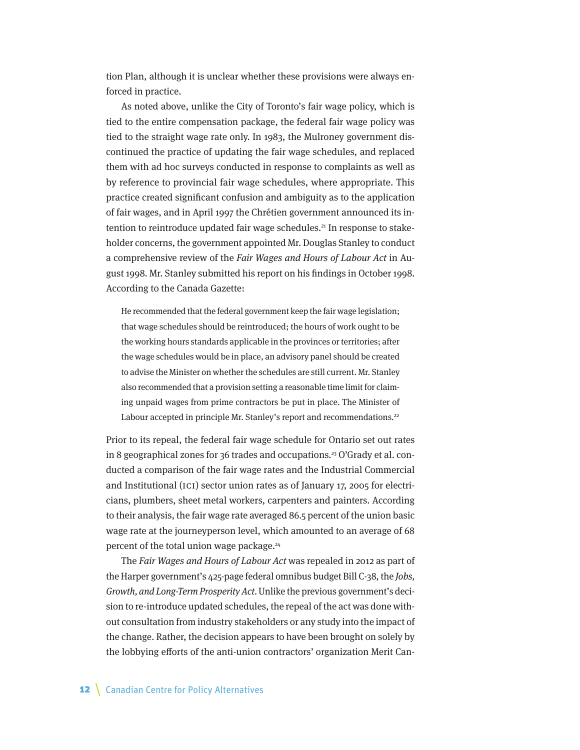tion Plan, although it is unclear whether these provisions were always enforced in practice.

As noted above, unlike the City of Toronto's fair wage policy, which is tied to the entire compensation package, the federal fair wage policy was tied to the straight wage rate only. In 1983, the Mulroney government discontinued the practice of updating the fair wage schedules, and replaced them with ad hoc surveys conducted in response to complaints as well as by reference to provincial fair wage schedules, where appropriate. This practice created significant confusion and ambiguity as to the application of fair wages, and in April 1997 the Chrétien government announced its intention to reintroduce updated fair wage schedules.<sup>21</sup> In response to stakeholder concerns, the government appointed Mr. Douglas Stanley to conduct a comprehensive review of the Fair Wages and Hours of Labour Act in August 1998. Mr. Stanley submitted his report on his findings in October 1998. According to the Canada Gazette:

He recommended that the federal government keep the fair wage legislation; that wage schedules should be reintroduced; the hours of work ought to be the working hours standards applicable in the provinces or territories; after the wage schedules would be in place, an advisory panel should be created to advise the Minister on whether the schedules are still current. Mr. Stanley also recommended that a provision setting a reasonable time limit for claiming unpaid wages from prime contractors be put in place. The Minister of Labour accepted in principle Mr. Stanley's report and recommendations.<sup>22</sup>

Prior to its repeal, the federal fair wage schedule for Ontario set out rates in 8 geographical zones for 36 trades and occupations.<sup>23</sup> O'Grady et al. conducted a comparison of the fair wage rates and the Industrial Commercial and Institutional (ICI) sector union rates as of January 17, 2005 for electricians, plumbers, sheet metal workers, carpenters and painters. According to their analysis, the fair wage rate averaged 86.5 percent of the union basic wage rate at the journeyperson level, which amounted to an average of 68 percent of the total union wage package.<sup>24</sup>

The Fair Wages and Hours of Labour Act was repealed in 2012 as part of the Harper government's 425-page federal omnibus budget Bill C-38, the Jobs, Growth, and Long-Term Prosperity Act. Unlike the previous government's decision to re-introduce updated schedules, the repeal of the act was done without consultation from industry stakeholders or any study into the impact of the change. Rather, the decision appears to have been brought on solely by the lobbying efforts of the anti-union contractors' organization Merit Can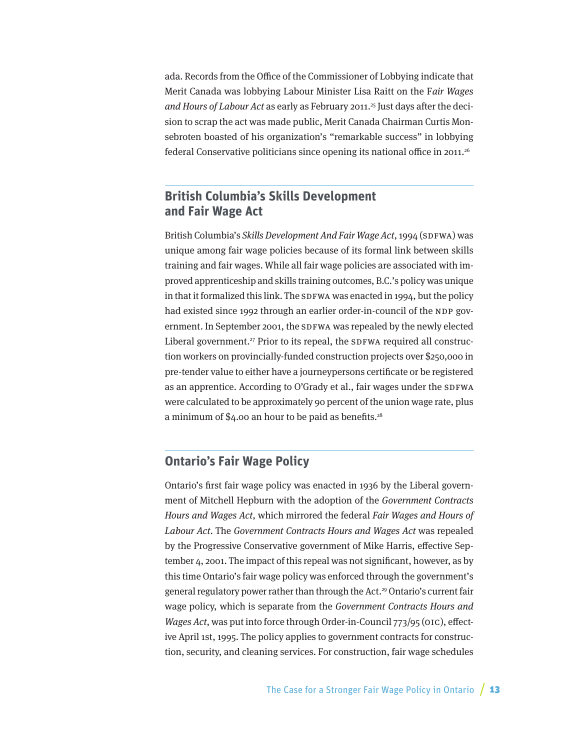ada. Records from the Office of the Commissioner of Lobbying indicate that Merit Canada was lobbying Labour Minister Lisa Raitt on the Fair Wages and Hours of Labour Act as early as February 2011.<sup>25</sup> Just days after the decision to scrap the act was made public, Merit Canada Chairman Curtis Monsebroten boasted of his organization's "remarkable success" in lobbying federal Conservative politicians since opening its national office in 2011.26

### **British Columbia's Skills Development and Fair Wage Act**

British Columbia's Skills Development And Fair Wage Act, 1994 (SDFWA) was unique among fair wage policies because of its formal link between skills training and fair wages. While all fair wage policies are associated with improved apprenticeship and skills training outcomes, B.C.'s policy was unique in that it formalized this link. The SDFWA was enacted in 1994, but the policy had existed since 1992 through an earlier order-in-council of the NDP government. In September 2001, the SDFWA was repealed by the newly elected Liberal government.<sup>27</sup> Prior to its repeal, the SDFWA required all construction workers on provincially-funded construction projects over \$250,000 in pre-tender value to either have a journeypersons certificate or be registered as an apprentice. According to O'Grady et al., fair wages under the SDFWA were calculated to be approximately 90 percent of the union wage rate, plus a minimum of \$4.00 an hour to be paid as benefits.<sup>28</sup>

### **Ontario's Fair Wage Policy**

Ontario's first fair wage policy was enacted in 1936 by the Liberal government of Mitchell Hepburn with the adoption of the Government Contracts Hours and Wages Act, which mirrored the federal Fair Wages and Hours of Labour Act. The Government Contracts Hours and Wages Act was repealed by the Progressive Conservative government of Mike Harris, effective September 4, 2001. The impact of this repeal was not significant, however, as by this time Ontario's fair wage policy was enforced through the government's general regulatory power rather than through the Act.29 Ontario's current fair wage policy, which is separate from the Government Contracts Hours and Wages Act, was put into force through Order-in-Council 773/95 (OIC), effective April 1st, 1995. The policy applies to government contracts for construction, security, and cleaning services. For construction, fair wage schedules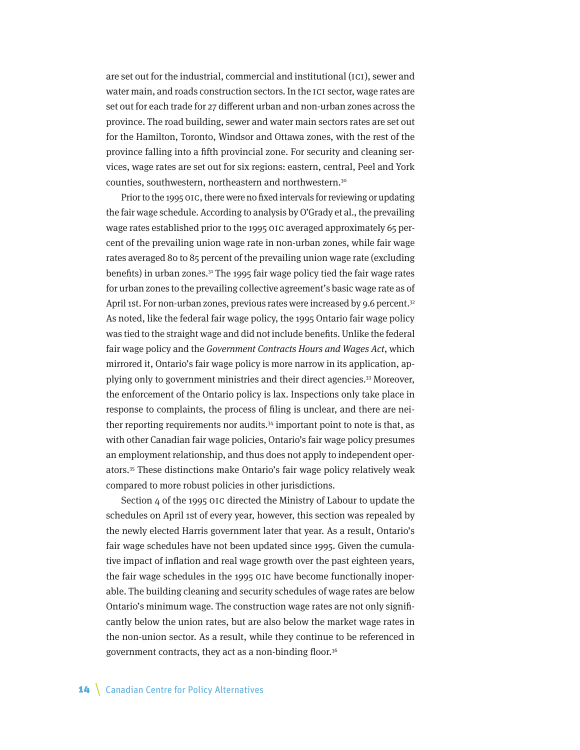are set out for the industrial, commercial and institutional (ICI), sewer and water main, and roads construction sectors. In the ICI sector, wage rates are set out for each trade for 27 different urban and non-urban zones across the province. The road building, sewer and water main sectors rates are set out for the Hamilton, Toronto, Windsor and Ottawa zones, with the rest of the province falling into a fifth provincial zone. For security and cleaning services, wage rates are set out for six regions: eastern, central, Peel and York counties, southwestern, northeastern and northwestern.30

Prior to the 1995 OIC, there were no fixed intervals for reviewing or updating the fair wage schedule. According to analysis by O'Grady et al., the prevailing wage rates established prior to the 1995 OIC averaged approximately 65 percent of the prevailing union wage rate in non-urban zones, while fair wage rates averaged 80 to 85 percent of the prevailing union wage rate (excluding benefits) in urban zones. $31$  The 1995 fair wage policy tied the fair wage rates for urban zones to the prevailing collective agreement's basic wage rate as of April 1st. For non-urban zones, previous rates were increased by 9.6 percent.<sup>32</sup> As noted, like the federal fair wage policy, the 1995 Ontario fair wage policy was tied to the straight wage and did not include benefits. Unlike the federal fair wage policy and the Government Contracts Hours and Wages Act, which mirrored it, Ontario's fair wage policy is more narrow in its application, applying only to government ministries and their direct agencies.33 Moreover, the enforcement of the Ontario policy is lax. Inspections only take place in response to complaints, the process of filing is unclear, and there are neither reporting requirements nor audits.34 important point to note is that, as with other Canadian fair wage policies, Ontario's fair wage policy presumes an employment relationship, and thus does not apply to independent operators.35 These distinctions make Ontario's fair wage policy relatively weak compared to more robust policies in other jurisdictions.

Section 4 of the 1995 OIC directed the Ministry of Labour to update the schedules on April 1st of every year, however, this section was repealed by the newly elected Harris government later that year. As a result, Ontario's fair wage schedules have not been updated since 1995. Given the cumulative impact of inflation and real wage growth over the past eighteen years, the fair wage schedules in the 1995 OIC have become functionally inoperable. The building cleaning and security schedules of wage rates are below Ontario's minimum wage. The construction wage rates are not only significantly below the union rates, but are also below the market wage rates in the non-union sector. As a result, while they continue to be referenced in government contracts, they act as a non-binding floor.36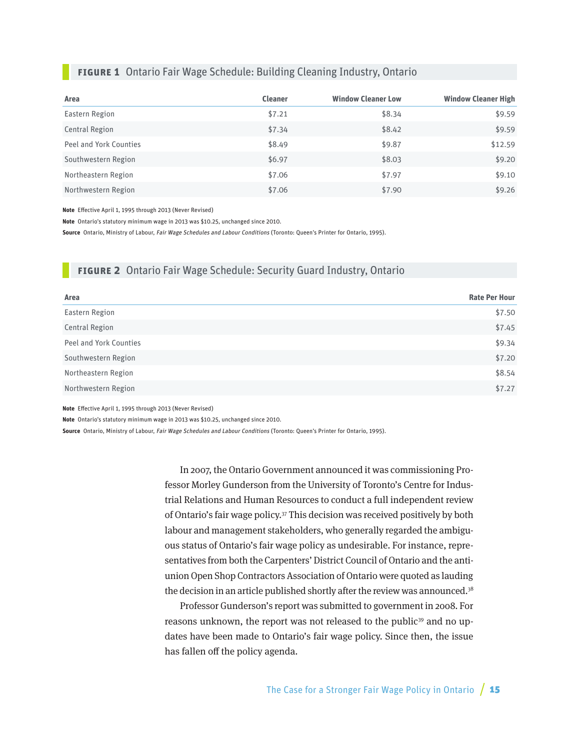#### **FIGURE 1** Ontario Fair Wage Schedule: Building Cleaning Industry, Ontario

| Area                   | <b>Cleaner</b> | <b>Window Cleaner Low</b> | <b>Window Cleaner High</b> |
|------------------------|----------------|---------------------------|----------------------------|
| Eastern Region         | \$7.21         | \$8.34                    | \$9.59                     |
| <b>Central Region</b>  | \$7.34         | \$8.42                    | \$9.59                     |
| Peel and York Counties | \$8.49         | \$9.87                    | \$12.59                    |
| Southwestern Region    | \$6.97         | \$8.03                    | \$9.20                     |
| Northeastern Region    | \$7.06         | \$7.97                    | \$9.10                     |
| Northwestern Region    | \$7.06         | \$7.90                    | \$9.26                     |

**Note** Effective April 1, 1995 through 2013 (Never Revised)

**Note** Ontario's statutory minimum wage in 2013 was \$10.25, unchanged since 2010.

**Source** Ontario, Ministry of Labour, Fair Wage Schedules and Labour Conditions (Toronto: Queen's Printer for Ontario, 1995).

#### **Figure 2** Ontario Fair Wage Schedule: Security Guard Industry, Ontario

| Area                   | <b>Rate Per Hour</b> |
|------------------------|----------------------|
| Eastern Region         | \$7.50               |
| <b>Central Region</b>  | \$7.45               |
| Peel and York Counties | \$9.34               |
| Southwestern Region    | \$7.20               |
| Northeastern Region    | \$8.54               |
| Northwestern Region    | \$7.27               |

**Note** Effective April 1, 1995 through 2013 (Never Revised)

**Note** Ontario's statutory minimum wage in 2013 was \$10.25, unchanged since 2010.

**Source** Ontario, Ministry of Labour, Fair Wage Schedules and Labour Conditions (Toronto: Queen's Printer for Ontario, 1995).

In 2007, the Ontario Government announced it was commissioning Professor Morley Gunderson from the University of Toronto's Centre for Industrial Relations and Human Resources to conduct a full independent review of Ontario's fair wage policy.37 This decision was received positively by both labour and management stakeholders, who generally regarded the ambiguous status of Ontario's fair wage policy as undesirable. For instance, representatives from both the Carpenters' District Council of Ontario and the antiunion Open Shop Contractors Association of Ontario were quoted as lauding the decision in an article published shortly after the review was announced.<sup>38</sup>

Professor Gunderson's report was submitted to government in 2008. For reasons unknown, the report was not released to the public<sup>39</sup> and no updates have been made to Ontario's fair wage policy. Since then, the issue has fallen off the policy agenda.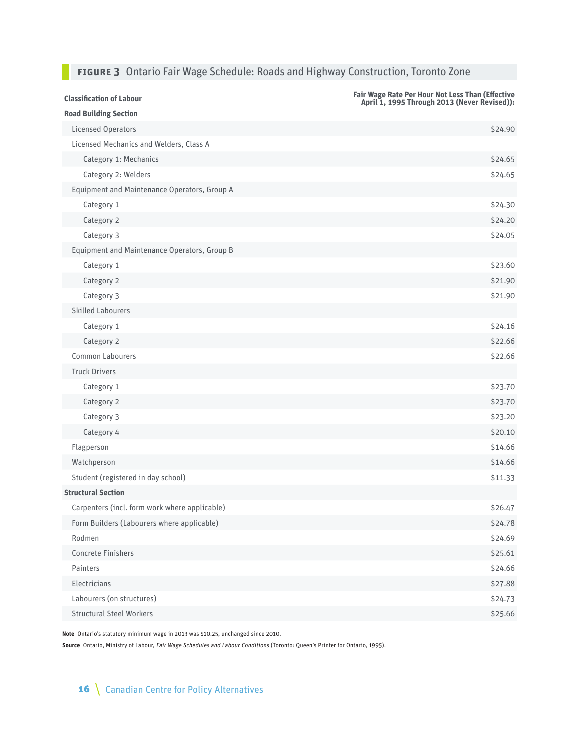|  |  | <b>FIGURE 3</b> Ontario Fair Wage Schedule: Roads and Highway Construction, Toronto Zone |  |  |  |
|--|--|------------------------------------------------------------------------------------------|--|--|--|
|--|--|------------------------------------------------------------------------------------------|--|--|--|

| <b>Classification of Labour</b>               | <b>Fair Wage Rate Per Hour Not Less Than (Effective</b><br>April 1, 1995 Through 2013 (Never Revised)): |
|-----------------------------------------------|---------------------------------------------------------------------------------------------------------|
| <b>Road Building Section</b>                  |                                                                                                         |
| Licensed Operators                            | \$24.90                                                                                                 |
| Licensed Mechanics and Welders, Class A       |                                                                                                         |
| Category 1: Mechanics                         | \$24.65                                                                                                 |
| Category 2: Welders                           | \$24.65                                                                                                 |
| Equipment and Maintenance Operators, Group A  |                                                                                                         |
| Category 1                                    | \$24.30                                                                                                 |
| Category 2                                    | \$24.20                                                                                                 |
| Category 3                                    | \$24.05                                                                                                 |
| Equipment and Maintenance Operators, Group B  |                                                                                                         |
| Category 1                                    | \$23.60                                                                                                 |
| Category 2                                    | \$21.90                                                                                                 |
| Category 3                                    | \$21.90                                                                                                 |
| <b>Skilled Labourers</b>                      |                                                                                                         |
| Category 1                                    | \$24.16                                                                                                 |
| Category 2                                    | \$22.66                                                                                                 |
| <b>Common Labourers</b>                       | \$22.66                                                                                                 |
| <b>Truck Drivers</b>                          |                                                                                                         |
| Category 1                                    | \$23.70                                                                                                 |
| Category 2                                    | \$23.70                                                                                                 |
| Category 3                                    | \$23.20                                                                                                 |
| Category 4                                    | \$20.10                                                                                                 |
| Flagperson                                    | \$14.66                                                                                                 |
| Watchperson                                   | \$14.66                                                                                                 |
| Student (registered in day school)            | \$11.33                                                                                                 |
| <b>Structural Section</b>                     |                                                                                                         |
| Carpenters (incl. form work where applicable) | \$26.47                                                                                                 |
| Form Builders (Labourers where applicable)    | \$24.78                                                                                                 |
| Rodmen                                        | \$24.69                                                                                                 |
| Concrete Finishers                            | \$25.61                                                                                                 |
| Painters                                      | \$24.66                                                                                                 |
| Electricians                                  | \$27.88                                                                                                 |
| Labourers (on structures)                     | \$24.73                                                                                                 |
| <b>Structural Steel Workers</b>               | \$25.66                                                                                                 |

**Note** Ontario's statutory minimum wage in 2013 was \$10.25, unchanged since 2010.

**Source** Ontario, Ministry of Labour, Fair Wage Schedules and Labour Conditions (Toronto: Queen's Printer for Ontario, 1995).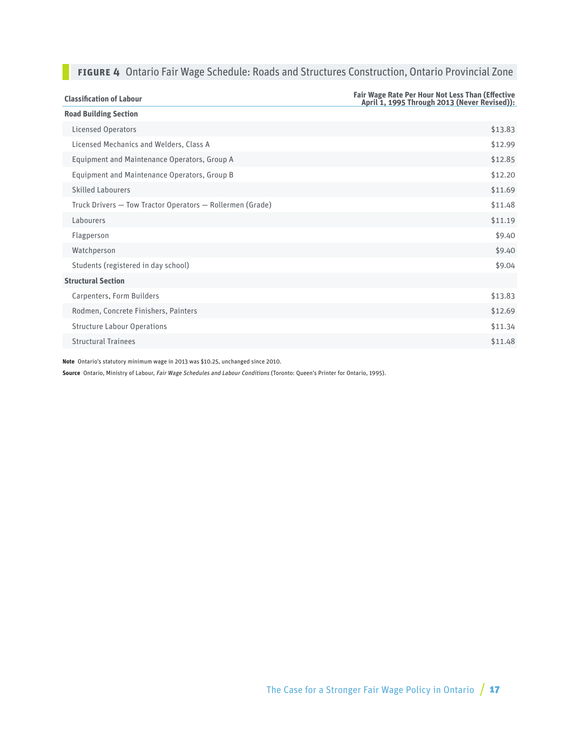### **Figure 4** Ontario Fair Wage Schedule: Roads and Structures Construction, Ontario Provincial Zone

| <b>Classification of Labour</b>                           | <b>Fair Wage Rate Per Hour Not Less Than (Effective</b><br>April 1, 1995 Through 2013 (Never Revised)): |
|-----------------------------------------------------------|---------------------------------------------------------------------------------------------------------|
| <b>Road Building Section</b>                              |                                                                                                         |
| <b>Licensed Operators</b>                                 | \$13.83                                                                                                 |
| Licensed Mechanics and Welders, Class A                   | \$12.99                                                                                                 |
| Equipment and Maintenance Operators, Group A              | \$12.85                                                                                                 |
| Equipment and Maintenance Operators, Group B              | \$12.20                                                                                                 |
| <b>Skilled Labourers</b>                                  | \$11.69                                                                                                 |
| Truck Drivers - Tow Tractor Operators - Rollermen (Grade) | \$11.48                                                                                                 |
| Labourers                                                 | \$11.19                                                                                                 |
| Flagperson                                                | \$9.40                                                                                                  |
| Watchperson                                               | \$9.40                                                                                                  |
| Students (registered in day school)                       | \$9.04                                                                                                  |
| <b>Structural Section</b>                                 |                                                                                                         |
| Carpenters, Form Builders                                 | \$13.83                                                                                                 |
| Rodmen, Concrete Finishers, Painters                      | \$12.69                                                                                                 |
| <b>Structure Labour Operations</b>                        | \$11.34                                                                                                 |
| <b>Structural Trainees</b>                                | \$11.48                                                                                                 |

**Note** Ontario's statutory minimum wage in 2013 was \$10.25, unchanged since 2010.

**Source** Ontario, Ministry of Labour, Fair Wage Schedules and Labour Conditions (Toronto: Queen's Printer for Ontario, 1995).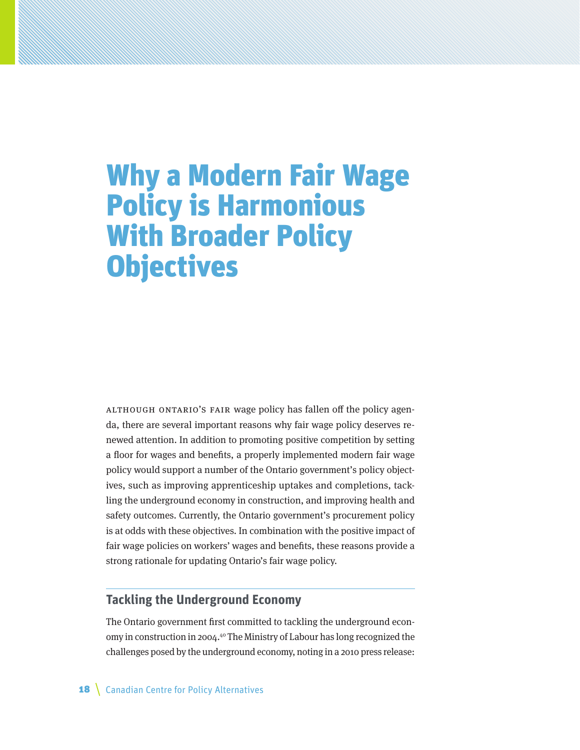## Why a Modern Fair Wage Policy is Harmonious With Broader Policy **Objectives**

Although Ontario's fair wage policy has fallen off the policy agenda, there are several important reasons why fair wage policy deserves renewed attention. In addition to promoting positive competition by setting a floor for wages and benefits, a properly implemented modern fair wage policy would support a number of the Ontario government's policy objectives, such as improving apprenticeship uptakes and completions, tackling the underground economy in construction, and improving health and safety outcomes. Currently, the Ontario government's procurement policy is at odds with these objectives. In combination with the positive impact of fair wage policies on workers' wages and benefits, these reasons provide a strong rationale for updating Ontario's fair wage policy.

#### **Tackling the Underground Economy**

The Ontario government first committed to tackling the underground economy in construction in  $2004.4^{\circ}$  The Ministry of Labour has long recognized the challenges posed by the underground economy, noting in a 2010 press release: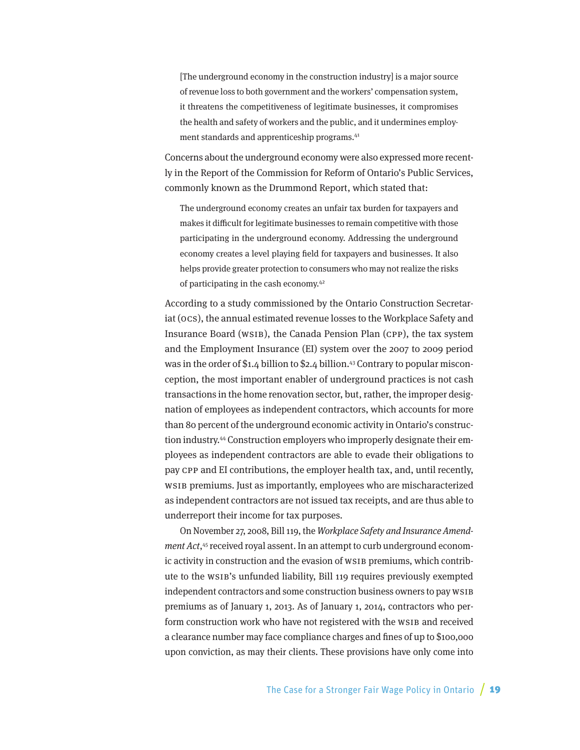[The underground economy in the construction industry] is a major source of revenue loss to both government and the workers' compensation system, it threatens the competitiveness of legitimate businesses, it compromises the health and safety of workers and the public, and it undermines employment standards and apprenticeship programs.<sup>41</sup>

Concerns about the underground economy were also expressed more recently in the Report of the Commission for Reform of Ontario's Public Services, commonly known as the Drummond Report, which stated that:

The underground economy creates an unfair tax burden for taxpayers and makes it difficult for legitimate businesses to remain competitive with those participating in the underground economy. Addressing the underground economy creates a level playing field for taxpayers and businesses. It also helps provide greater protection to consumers who may not realize the risks of participating in the cash economy.42

According to a study commissioned by the Ontario Construction Secretariat (OCS), the annual estimated revenue losses to the Workplace Safety and Insurance Board (WSIB), the Canada Pension Plan (CPP), the tax system and the Employment Insurance (EI) system over the 2007 to 2009 period was in the order of \$1.4 billion to \$2.4 billion.<sup>43</sup> Contrary to popular misconception, the most important enabler of underground practices is not cash transactions in the home renovation sector, but, rather, the improper designation of employees as independent contractors, which accounts for more than 80 percent of the underground economic activity in Ontario's construction industry.44 Construction employers who improperly designate their employees as independent contractors are able to evade their obligations to pay CPP and EI contributions, the employer health tax, and, until recently, WSIB premiums. Just as importantly, employees who are mischaracterized as independent contractors are not issued tax receipts, and are thus able to underreport their income for tax purposes.

On November 27, 2008, Bill 119, the Workplace Safety and Insurance Amendment Act, 45 received royal assent. In an attempt to curb underground economic activity in construction and the evasion of WSIB premiums, which contribute to the WSIB's unfunded liability, Bill 119 requires previously exempted independent contractors and some construction business owners to pay WSIB premiums as of January 1, 2013. As of January 1, 2014, contractors who perform construction work who have not registered with the WSIB and received a clearance number may face compliance charges and fines of up to \$100,000 upon conviction, as may their clients. These provisions have only come into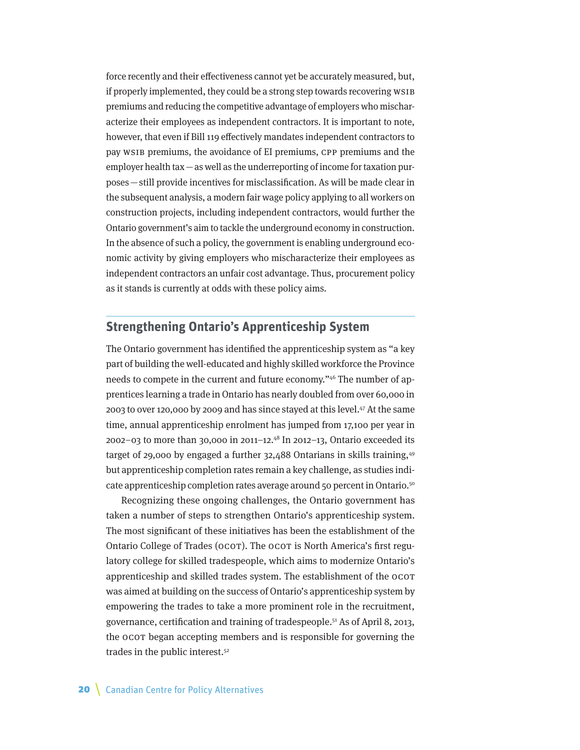force recently and their effectiveness cannot yet be accurately measured, but, if properly implemented, they could be a strong step towards recovering WSIB premiums and reducing the competitive advantage of employers who mischaracterize their employees as independent contractors. It is important to note, however, that even if Bill 119 effectively mandates independent contractors to pay WSIB premiums, the avoidance of EI premiums, CPP premiums and the employer health tax—as well as the underreporting of income for taxation purposes—still provide incentives for misclassification. As will be made clear in the subsequent analysis, a modern fair wage policy applying to all workers on construction projects, including independent contractors, would further the Ontario government's aim to tackle the underground economy in construction. In the absence of such a policy, the government is enabling underground economic activity by giving employers who mischaracterize their employees as independent contractors an unfair cost advantage. Thus, procurement policy as it stands is currently at odds with these policy aims.

### **Strengthening Ontario's Apprenticeship System**

The Ontario government has identified the apprenticeship system as "a key part of building the well-educated and highly skilled workforce the Province needs to compete in the current and future economy."46 The number of apprentices learning a trade in Ontario has nearly doubled from over 60,000 in 2003 to over 120,000 by 2009 and has since stayed at this level.47 At the same time, annual apprenticeship enrolment has jumped from 17,100 per year in 2002–03 to more than 30,000 in 2011–12. $48$  In 2012–13, Ontario exceeded its target of 29,000 by engaged a further  $32,488$  Ontarians in skills training,  $49$ but apprenticeship completion rates remain a key challenge, as studies indicate apprenticeship completion rates average around 50 percent in Ontario.50

Recognizing these ongoing challenges, the Ontario government has taken a number of steps to strengthen Ontario's apprenticeship system. The most significant of these initiatives has been the establishment of the Ontario College of Trades (OCOT). The OCOT is North America's first regulatory college for skilled tradespeople, which aims to modernize Ontario's apprenticeship and skilled trades system. The establishment of the OCOT was aimed at building on the success of Ontario's apprenticeship system by empowering the trades to take a more prominent role in the recruitment, governance, certification and training of tradespeople.51 As of April 8, 2013, the OCOT began accepting members and is responsible for governing the trades in the public interest.52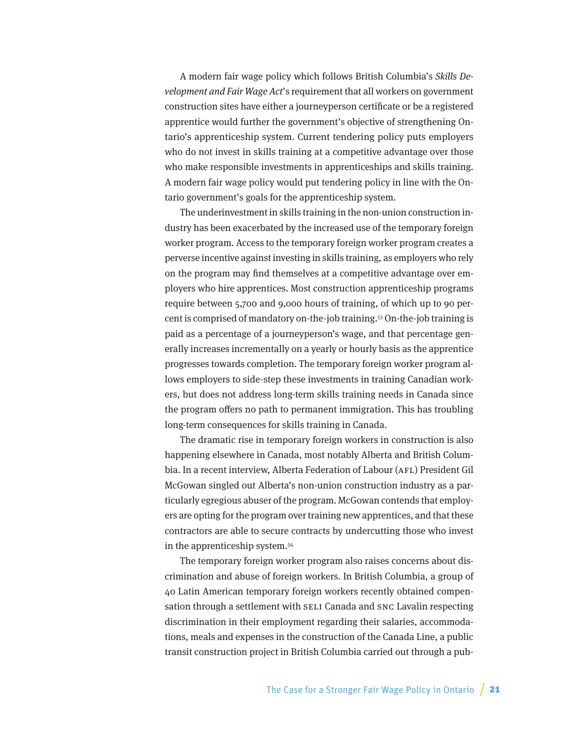A modern fair wage policy which follows British Columbia's Skills Development and Fair Wage Act's requirement that all workers on government construction sites have either a journeyperson certificate or be a registered apprentice would further the government's objective of strengthening Ontario's apprenticeship system. Current tendering policy puts employers who do not invest in skills training at a competitive advantage over those who make responsible investments in apprenticeships and skills training. A modern fair wage policy would put tendering policy in line with the Ontario government's goals for the apprenticeship system.

The underinvestment in skills training in the non-union construction industry has been exacerbated by the increased use of the temporary foreign worker program. Access to the temporary foreign worker program creates a perverse incentive against investing in skills training, as employers who rely on the program may find themselves at a competitive advantage over employers who hire apprentices. Most construction apprenticeship programs require between 5,700 and 9,000 hours of training, of which up to 90 percent is comprised of mandatory on-the-job training.53 On-the-job training is paid as a percentage of a journeyperson's wage, and that percentage generally increases incrementally on a yearly or hourly basis as the apprentice progresses towards completion. The temporary foreign worker program allows employers to side-step these investments in training Canadian workers, but does not address long-term skills training needs in Canada since the program offers no path to permanent immigration. This has troubling long-term consequences for skills training in Canada.

The dramatic rise in temporary foreign workers in construction is also happening elsewhere in Canada, most notably Alberta and British Columbia. In a recent interview, Alberta Federation of Labour (AFL) President Gil McGowan singled out Alberta's non-union construction industry as a particularly egregious abuser of the program. McGowan contends that employers are opting for the program over training new apprentices, and that these contractors are able to secure contracts by undercutting those who invest in the apprenticeship system.54

The temporary foreign worker program also raises concerns about discrimination and abuse of foreign workers. In British Columbia, a group of 40 Latin American temporary foreign workers recently obtained compensation through a settlement with SELI Canada and SNC Lavalin respecting discrimination in their employment regarding their salaries, accommodations, meals and expenses in the construction of the Canada Line, a public transit construction project in British Columbia carried out through a pub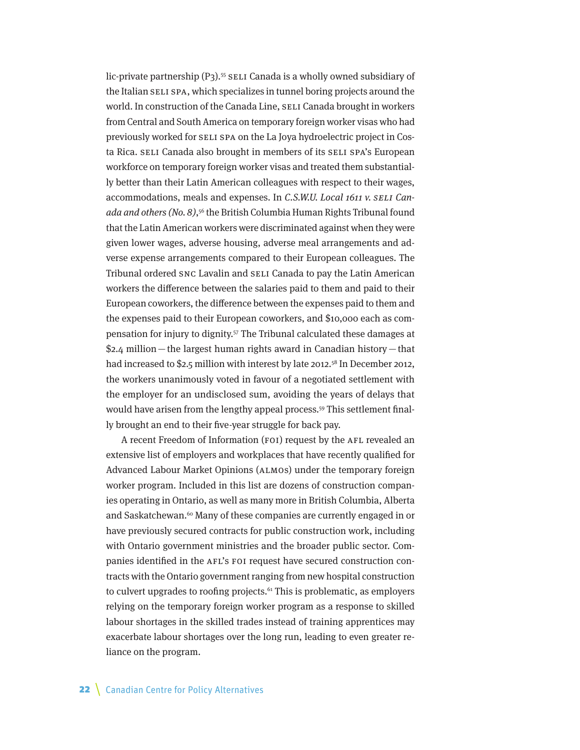lic-private partnership (P3).<sup>55</sup> SELI Canada is a wholly owned subsidiary of the Italian SELI SPA, which specializes in tunnel boring projects around the world. In construction of the Canada Line, SELI Canada brought in workers from Central and South America on temporary foreign worker visas who had previously worked for SELI SPA on the La Joya hydroelectric project in Costa Rica. SELI Canada also brought in members of its SELI SPA's European workforce on temporary foreign worker visas and treated them substantially better than their Latin American colleagues with respect to their wages, accommodations, meals and expenses. In C.S.W.U. Local 1611 v. SELI Canada and others (No. 8),<sup>56</sup> the British Columbia Human Rights Tribunal found that the Latin American workers were discriminated against when they were given lower wages, adverse housing, adverse meal arrangements and adverse expense arrangements compared to their European colleagues. The Tribunal ordered SNC Lavalin and SELI Canada to pay the Latin American workers the difference between the salaries paid to them and paid to their European coworkers, the difference between the expenses paid to them and the expenses paid to their European coworkers, and \$10,000 each as compensation for injury to dignity.57 The Tribunal calculated these damages at \$2.4 million—the largest human rights award in Canadian history —that had increased to \$2.5 million with interest by late 2012.<sup>58</sup> In December 2012, the workers unanimously voted in favour of a negotiated settlement with the employer for an undisclosed sum, avoiding the years of delays that would have arisen from the lengthy appeal process.<sup>59</sup> This settlement finally brought an end to their five-year struggle for back pay.

A recent Freedom of Information (FOI) request by the AFL revealed an extensive list of employers and workplaces that have recently qualified for Advanced Labour Market Opinions (ALMOs) under the temporary foreign worker program. Included in this list are dozens of construction companies operating in Ontario, as well as many more in British Columbia, Alberta and Saskatchewan.<sup>60</sup> Many of these companies are currently engaged in or have previously secured contracts for public construction work, including with Ontario government ministries and the broader public sector. Companies identified in the AFL's FOI request have secured construction contracts with the Ontario government ranging from new hospital construction to culvert upgrades to roofing projects. $61$  This is problematic, as employers relying on the temporary foreign worker program as a response to skilled labour shortages in the skilled trades instead of training apprentices may exacerbate labour shortages over the long run, leading to even greater reliance on the program.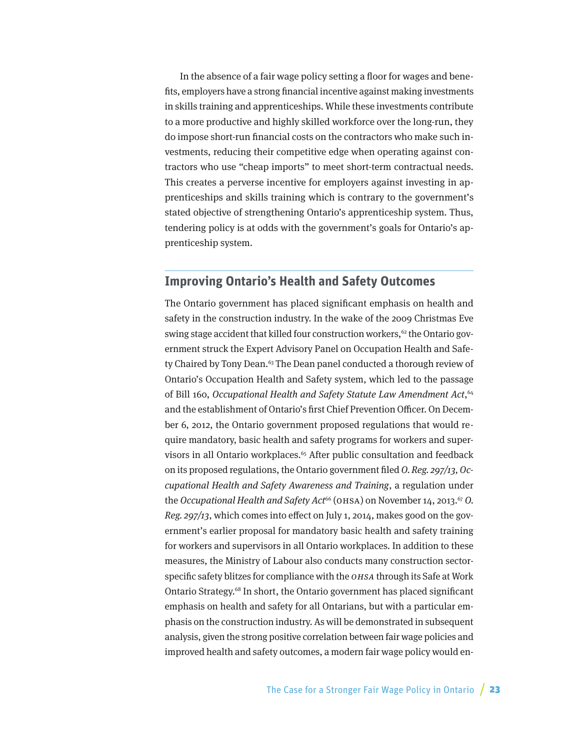In the absence of a fair wage policy setting a floor for wages and benefits, employers have a strong financial incentive against making investments in skills training and apprenticeships. While these investments contribute to a more productive and highly skilled workforce over the long-run, they do impose short-run financial costs on the contractors who make such investments, reducing their competitive edge when operating against contractors who use "cheap imports" to meet short-term contractual needs. This creates a perverse incentive for employers against investing in apprenticeships and skills training which is contrary to the government's stated objective of strengthening Ontario's apprenticeship system. Thus, tendering policy is at odds with the government's goals for Ontario's apprenticeship system.

### **Improving Ontario's Health and Safety Outcomes**

The Ontario government has placed significant emphasis on health and safety in the construction industry. In the wake of the 2009 Christmas Eve swing stage accident that killed four construction workers,<sup>62</sup> the Ontario government struck the Expert Advisory Panel on Occupation Health and Safety Chaired by Tony Dean.<sup>63</sup> The Dean panel conducted a thorough review of Ontario's Occupation Health and Safety system, which led to the passage of Bill 160, Occupational Health and Safety Statute Law Amendment Act,<sup>64</sup> and the establishment of Ontario's first Chief Prevention Officer. On December 6, 2012, the Ontario government proposed regulations that would require mandatory, basic health and safety programs for workers and supervisors in all Ontario workplaces.<sup>65</sup> After public consultation and feedback on its proposed regulations, the Ontario government filed O. Reg. 297/13, Occupational Health and Safety Awareness and Training, a regulation under the Occupational Health and Safety Act<sup>66</sup> (OHSA) on November 14, 2013.<sup>67</sup> O. Reg. 297/13, which comes into effect on July 1, 2014, makes good on the government's earlier proposal for mandatory basic health and safety training for workers and supervisors in all Ontario workplaces. In addition to these measures, the Ministry of Labour also conducts many construction sectorspecific safety blitzes for compliance with the *OHSA* through its Safe at Work Ontario Strategy.68 In short, the Ontario government has placed significant emphasis on health and safety for all Ontarians, but with a particular emphasis on the construction industry. As will be demonstrated in subsequent analysis, given the strong positive correlation between fair wage policies and improved health and safety outcomes, a modern fair wage policy would en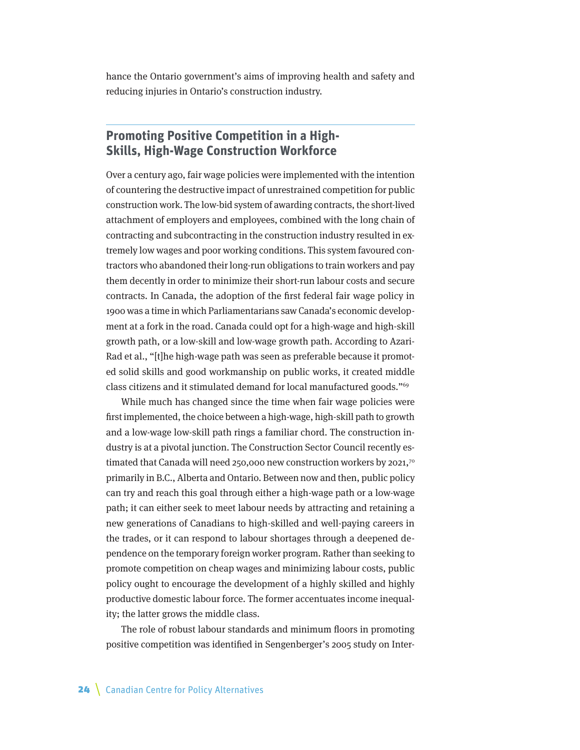hance the Ontario government's aims of improving health and safety and reducing injuries in Ontario's construction industry.

## **Promoting Positive Competition in a High-Skills, High-Wage Construction Workforce**

Over a century ago, fair wage policies were implemented with the intention of countering the destructive impact of unrestrained competition for public construction work. The low-bid system of awarding contracts, the short-lived attachment of employers and employees, combined with the long chain of contracting and subcontracting in the construction industry resulted in extremely low wages and poor working conditions. This system favoured contractors who abandoned their long-run obligations to train workers and pay them decently in order to minimize their short-run labour costs and secure contracts. In Canada, the adoption of the first federal fair wage policy in 1900 was a time in which Parliamentarians saw Canada's economic development at a fork in the road. Canada could opt for a high-wage and high-skill growth path, or a low-skill and low-wage growth path. According to Azari-Rad et al., "[t]he high-wage path was seen as preferable because it promoted solid skills and good workmanship on public works, it created middle class citizens and it stimulated demand for local manufactured goods."69

While much has changed since the time when fair wage policies were first implemented, the choice between a high-wage, high-skill path to growth and a low-wage low-skill path rings a familiar chord. The construction industry is at a pivotal junction. The Construction Sector Council recently estimated that Canada will need 250,000 new construction workers by 2021,<sup>70</sup> primarily in B.C., Alberta and Ontario. Between now and then, public policy can try and reach this goal through either a high-wage path or a low-wage path; it can either seek to meet labour needs by attracting and retaining a new generations of Canadians to high-skilled and well-paying careers in the trades, or it can respond to labour shortages through a deepened dependence on the temporary foreign worker program. Rather than seeking to promote competition on cheap wages and minimizing labour costs, public policy ought to encourage the development of a highly skilled and highly productive domestic labour force. The former accentuates income inequality; the latter grows the middle class.

The role of robust labour standards and minimum floors in promoting positive competition was identified in Sengenberger's 2005 study on Inter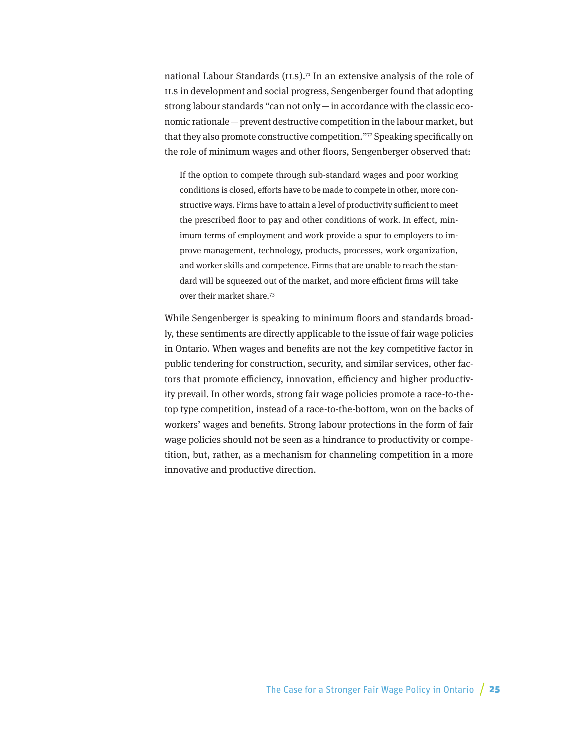national Labour Standards (ILS).<sup>71</sup> In an extensive analysis of the role of ILS in development and social progress, Sengenberger found that adopting strong labour standards "can not only—in accordance with the classic economic rationale—prevent destructive competition in the labour market, but that they also promote constructive competition."72 Speaking specifically on the role of minimum wages and other floors, Sengenberger observed that:

If the option to compete through sub-standard wages and poor working conditions is closed, efforts have to be made to compete in other, more constructive ways. Firms have to attain a level of productivity sufficient to meet the prescribed floor to pay and other conditions of work. In effect, minimum terms of employment and work provide a spur to employers to improve management, technology, products, processes, work organization, and worker skills and competence. Firms that are unable to reach the standard will be squeezed out of the market, and more efficient firms will take over their market share.73

While Sengenberger is speaking to minimum floors and standards broadly, these sentiments are directly applicable to the issue of fair wage policies in Ontario. When wages and benefits are not the key competitive factor in public tendering for construction, security, and similar services, other factors that promote efficiency, innovation, efficiency and higher productivity prevail. In other words, strong fair wage policies promote a race-to-thetop type competition, instead of a race-to-the-bottom, won on the backs of workers' wages and benefits. Strong labour protections in the form of fair wage policies should not be seen as a hindrance to productivity or competition, but, rather, as a mechanism for channeling competition in a more innovative and productive direction.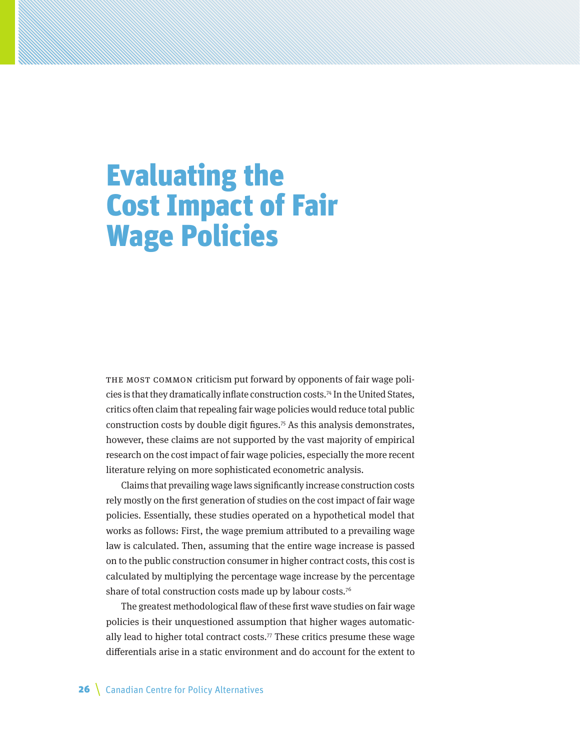## Evaluating the Cost Impact of Fair Wage Policies

THE MOST COMMON criticism put forward by opponents of fair wage policies is that they dramatically inflate construction costs.74 In the United States, critics often claim that repealing fair wage policies would reduce total public construction costs by double digit figures.75 As this analysis demonstrates, however, these claims are not supported by the vast majority of empirical research on the cost impact of fair wage policies, especially the more recent literature relying on more sophisticated econometric analysis.

Claims that prevailing wage laws significantly increase construction costs rely mostly on the first generation of studies on the cost impact of fair wage policies. Essentially, these studies operated on a hypothetical model that works as follows: First, the wage premium attributed to a prevailing wage law is calculated. Then, assuming that the entire wage increase is passed on to the public construction consumer in higher contract costs, this cost is calculated by multiplying the percentage wage increase by the percentage share of total construction costs made up by labour costs.<sup>76</sup>

The greatest methodological flaw of these first wave studies on fair wage policies is their unquestioned assumption that higher wages automatically lead to higher total contract costs. $77$  These critics presume these wage differentials arise in a static environment and do account for the extent to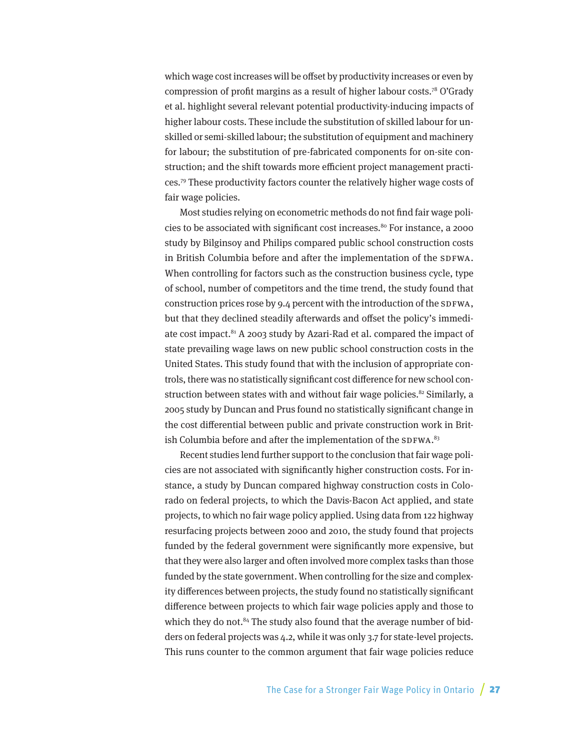which wage cost increases will be offset by productivity increases or even by compression of profit margins as a result of higher labour costs.78 O'Grady et al. highlight several relevant potential productivity-inducing impacts of higher labour costs. These include the substitution of skilled labour for unskilled or semi-skilled labour; the substitution of equipment and machinery for labour; the substitution of pre-fabricated components for on-site construction; and the shift towards more efficient project management practices.79 These productivity factors counter the relatively higher wage costs of fair wage policies.

Most studies relying on econometric methods do not find fair wage policies to be associated with significant cost increases.80 For instance, a 2000 study by Bilginsoy and Philips compared public school construction costs in British Columbia before and after the implementation of the SDFWA. When controlling for factors such as the construction business cycle, type of school, number of competitors and the time trend, the study found that construction prices rose by 9.4 percent with the introduction of the SDFWA, but that they declined steadily afterwards and offset the policy's immediate cost impact.<sup>81</sup> A 2003 study by Azari-Rad et al. compared the impact of state prevailing wage laws on new public school construction costs in the United States. This study found that with the inclusion of appropriate controls, there was no statistically significant cost difference for new school construction between states with and without fair wage policies.<sup>82</sup> Similarly, a 2005 study by Duncan and Prus found no statistically significant change in the cost differential between public and private construction work in British Columbia before and after the implementation of the <code>sDFWA.</code>  $^{83}$ 

Recent studies lend further support to the conclusion that fair wage policies are not associated with significantly higher construction costs. For instance, a study by Duncan compared highway construction costs in Colorado on federal projects, to which the Davis-Bacon Act applied, and state projects, to which no fair wage policy applied. Using data from 122 highway resurfacing projects between 2000 and 2010, the study found that projects funded by the federal government were significantly more expensive, but that they were also larger and often involved more complex tasks than those funded by the state government. When controlling for the size and complexity differences between projects, the study found no statistically significant difference between projects to which fair wage policies apply and those to which they do not. $84$  The study also found that the average number of bidders on federal projects was 4.2, while it was only 3.7 for state-level projects. This runs counter to the common argument that fair wage policies reduce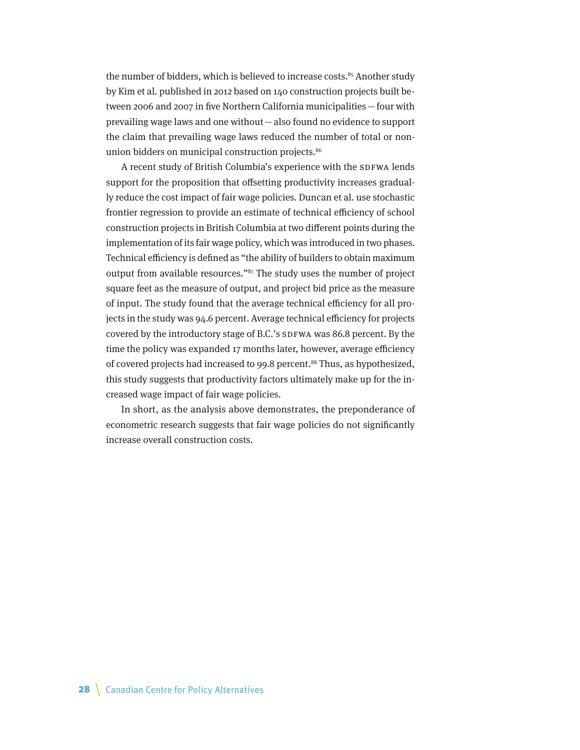the number of bidders, which is believed to increase costs.<sup>85</sup> Another study by Kim et al. published in 2012 based on 140 construction projects built between 2006 and 2007 in five Northern California municipalities—four with prevailing wage laws and one without—also found no evidence to support the claim that prevailing wage laws reduced the number of total or nonunion bidders on municipal construction projects.<sup>86</sup>

A recent study of British Columbia's experience with the SDFWA lends support for the proposition that offsetting productivity increases gradually reduce the cost impact of fair wage policies. Duncan et al. use stochastic frontier regression to provide an estimate of technical efficiency of school construction projects in British Columbia at two different points during the implementation of its fair wage policy, which was introduced in two phases. Technical efficiency is defined as "the ability of builders to obtain maximum output from available resources."87 The study uses the number of project square feet as the measure of output, and project bid price as the measure of input. The study found that the average technical efficiency for all projects in the study was 94.6 percent. Average technical efficiency for projects covered by the introductory stage of B.C.'s SDFWA was 86.8 percent. By the time the policy was expanded 17 months later, however, average efficiency of covered projects had increased to 99.8 percent.<sup>88</sup> Thus, as hypothesized, this study suggests that productivity factors ultimately make up for the increased wage impact of fair wage policies.

In short, as the analysis above demonstrates, the preponderance of econometric research suggests that fair wage policies do not significantly increase overall construction costs.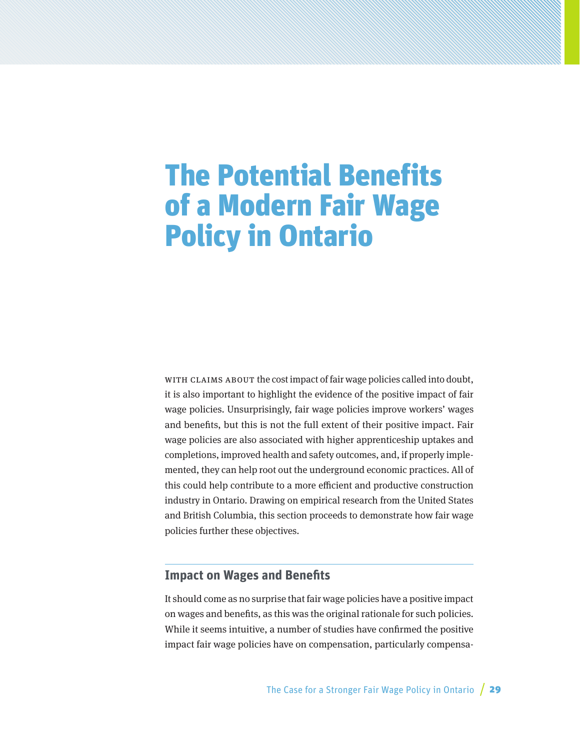## The Potential Benefits of a Modern Fair Wage Policy in Ontario

WITH CLAIMS ABOUT the cost impact of fair wage policies called into doubt, it is also important to highlight the evidence of the positive impact of fair wage policies. Unsurprisingly, fair wage policies improve workers' wages and benefits, but this is not the full extent of their positive impact. Fair wage policies are also associated with higher apprenticeship uptakes and completions, improved health and safety outcomes, and, if properly implemented, they can help root out the underground economic practices. All of this could help contribute to a more efficient and productive construction industry in Ontario. Drawing on empirical research from the United States and British Columbia, this section proceeds to demonstrate how fair wage policies further these objectives.

#### **Impact on Wages and Benefits**

It should come as no surprise that fair wage policies have a positive impact on wages and benefits, as this was the original rationale for such policies. While it seems intuitive, a number of studies have confirmed the positive impact fair wage policies have on compensation, particularly compensa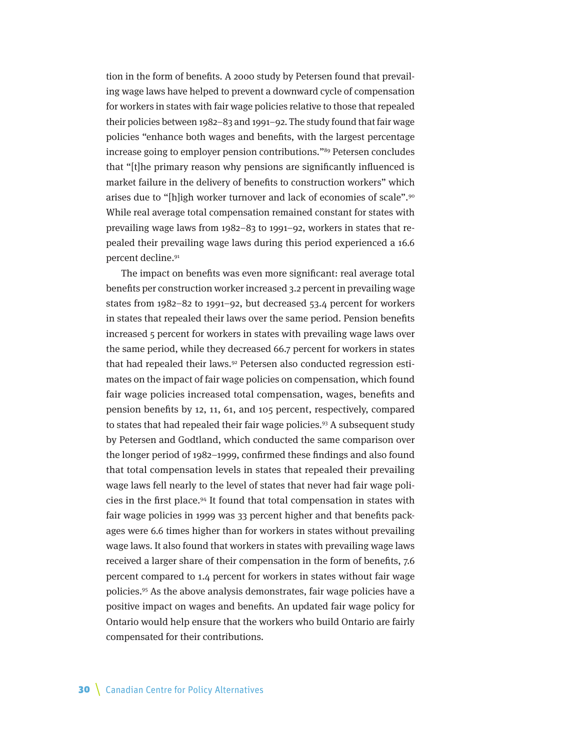tion in the form of benefits. A 2000 study by Petersen found that prevailing wage laws have helped to prevent a downward cycle of compensation for workers in states with fair wage policies relative to those that repealed their policies between 1982–83 and 1991–92. The study found that fair wage policies "enhance both wages and benefits, with the largest percentage increase going to employer pension contributions."89 Petersen concludes that "[t]he primary reason why pensions are significantly influenced is market failure in the delivery of benefits to construction workers" which arises due to "[h]igh worker turnover and lack of economies of scale".90 While real average total compensation remained constant for states with prevailing wage laws from 1982–83 to 1991–92, workers in states that repealed their prevailing wage laws during this period experienced a 16.6 percent decline.<sup>91</sup>

The impact on benefits was even more significant: real average total benefits per construction worker increased 3.2 percent in prevailing wage states from 1982–82 to 1991–92, but decreased 53.4 percent for workers in states that repealed their laws over the same period. Pension benefits increased 5 percent for workers in states with prevailing wage laws over the same period, while they decreased 66.7 percent for workers in states that had repealed their laws.<sup>92</sup> Petersen also conducted regression estimates on the impact of fair wage policies on compensation, which found fair wage policies increased total compensation, wages, benefits and pension benefits by 12, 11, 61, and 105 percent, respectively, compared to states that had repealed their fair wage policies.<sup>93</sup> A subsequent study by Petersen and Godtland, which conducted the same comparison over the longer period of 1982–1999, confirmed these findings and also found that total compensation levels in states that repealed their prevailing wage laws fell nearly to the level of states that never had fair wage policies in the first place.94 It found that total compensation in states with fair wage policies in 1999 was 33 percent higher and that benefits packages were 6.6 times higher than for workers in states without prevailing wage laws. It also found that workers in states with prevailing wage laws received a larger share of their compensation in the form of benefits, 7.6 percent compared to 1.4 percent for workers in states without fair wage policies.95 As the above analysis demonstrates, fair wage policies have a positive impact on wages and benefits. An updated fair wage policy for Ontario would help ensure that the workers who build Ontario are fairly compensated for their contributions.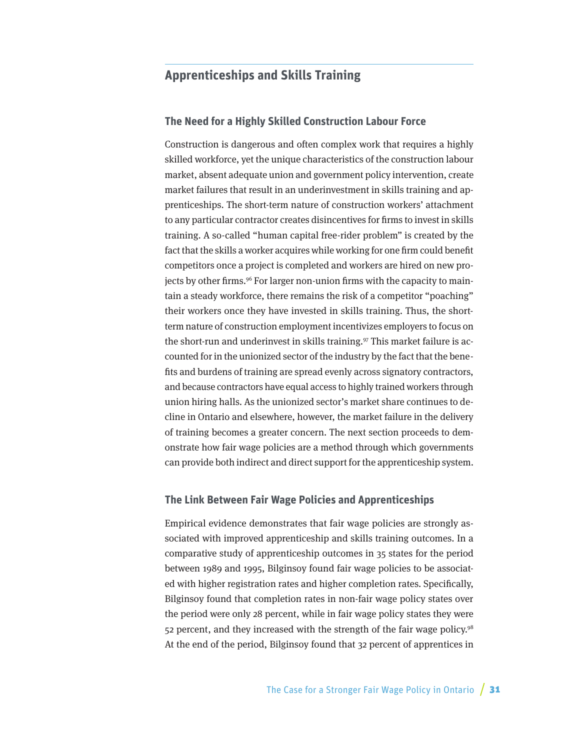## **Apprenticeships and Skills Training**

#### **The Need for a Highly Skilled Construction Labour Force**

Construction is dangerous and often complex work that requires a highly skilled workforce, yet the unique characteristics of the construction labour market, absent adequate union and government policy intervention, create market failures that result in an underinvestment in skills training and apprenticeships. The short-term nature of construction workers' attachment to any particular contractor creates disincentives for firms to invest in skills training. A so-called "human capital free-rider problem" is created by the fact that the skills a worker acquires while working for one firm could benefit competitors once a project is completed and workers are hired on new projects by other firms.<sup>96</sup> For larger non-union firms with the capacity to maintain a steady workforce, there remains the risk of a competitor "poaching" their workers once they have invested in skills training. Thus, the shortterm nature of construction employment incentivizes employers to focus on the short-run and underinvest in skills training.97 This market failure is accounted for in the unionized sector of the industry by the fact that the benefits and burdens of training are spread evenly across signatory contractors, and because contractors have equal access to highly trained workers through union hiring halls. As the unionized sector's market share continues to decline in Ontario and elsewhere, however, the market failure in the delivery of training becomes a greater concern. The next section proceeds to demonstrate how fair wage policies are a method through which governments can provide both indirect and direct support for the apprenticeship system.

#### **The Link Between Fair Wage Policies and Apprenticeships**

Empirical evidence demonstrates that fair wage policies are strongly associated with improved apprenticeship and skills training outcomes. In a comparative study of apprenticeship outcomes in 35 states for the period between 1989 and 1995, Bilginsoy found fair wage policies to be associated with higher registration rates and higher completion rates. Specifically, Bilginsoy found that completion rates in non-fair wage policy states over the period were only 28 percent, while in fair wage policy states they were 52 percent, and they increased with the strength of the fair wage policy.<sup>98</sup> At the end of the period, Bilginsoy found that 32 percent of apprentices in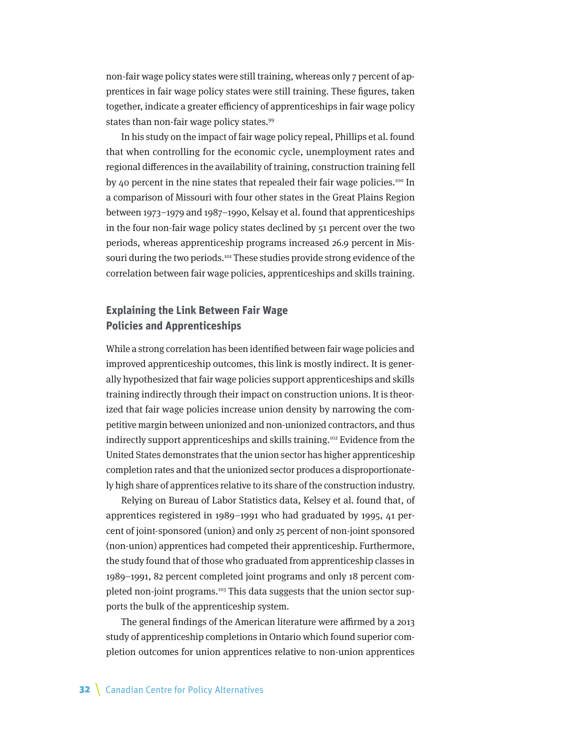non-fair wage policy states were still training, whereas only 7 percent of apprentices in fair wage policy states were still training. These figures, taken together, indicate a greater efficiency of apprenticeships in fair wage policy states than non-fair wage policy states.<sup>99</sup>

In his study on the impact of fair wage policy repeal, Phillips et al. found that when controlling for the economic cycle, unemployment rates and regional differences in the availability of training, construction training fell by 40 percent in the nine states that repealed their fair wage policies.<sup>100</sup> In a comparison of Missouri with four other states in the Great Plains Region between 1973–1979 and 1987–1990, Kelsay et al. found that apprenticeships in the four non-fair wage policy states declined by 51 percent over the two periods, whereas apprenticeship programs increased 26.9 percent in Missouri during the two periods.101 These studies provide strong evidence of the correlation between fair wage policies, apprenticeships and skills training.

### **Explaining the Link Between Fair Wage Policies and Apprenticeships**

While a strong correlation has been identified between fair wage policies and improved apprenticeship outcomes, this link is mostly indirect. It is generally hypothesized that fair wage policies support apprenticeships and skills training indirectly through their impact on construction unions. It is theorized that fair wage policies increase union density by narrowing the competitive margin between unionized and non-unionized contractors, and thus indirectly support apprenticeships and skills training.102 Evidence from the United States demonstrates that the union sector has higher apprenticeship completion rates and that the unionized sector produces a disproportionately high share of apprentices relative to its share of the construction industry.

Relying on Bureau of Labor Statistics data, Kelsey et al. found that, of apprentices registered in 1989–1991 who had graduated by 1995, 41 percent of joint-sponsored (union) and only 25 percent of non-joint sponsored (non-union) apprentices had competed their apprenticeship. Furthermore, the study found that of those who graduated from apprenticeship classes in 1989–1991, 82 percent completed joint programs and only 18 percent completed non-joint programs.<sup>103</sup> This data suggests that the union sector supports the bulk of the apprenticeship system.

The general findings of the American literature were affirmed by a 2013 study of apprenticeship completions in Ontario which found superior completion outcomes for union apprentices relative to non-union apprentices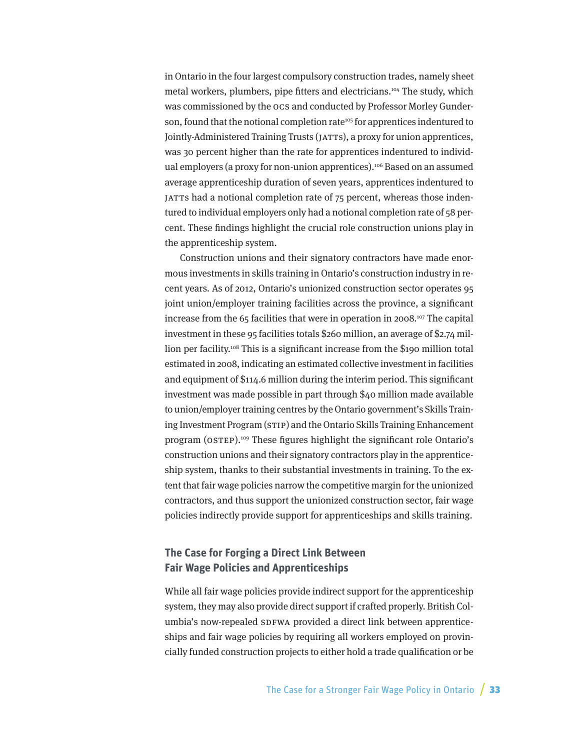in Ontario in the four largest compulsory construction trades, namely sheet metal workers, plumbers, pipe fitters and electricians.104 The study, which was commissioned by the OCS and conducted by Professor Morley Gunderson, found that the notional completion rate<sup>105</sup> for apprentices indentured to Jointly-Administered Training Trusts (JATTs), a proxy for union apprentices, was 30 percent higher than the rate for apprentices indentured to individual employers (a proxy for non-union apprentices).<sup>106</sup> Based on an assumed average apprenticeship duration of seven years, apprentices indentured to JATTs had a notional completion rate of 75 percent, whereas those indentured to individual employers only had a notional completion rate of 58 percent. These findings highlight the crucial role construction unions play in the apprenticeship system.

Construction unions and their signatory contractors have made enormous investments in skills training in Ontario's construction industry in recent years. As of 2012, Ontario's unionized construction sector operates 95 joint union/employer training facilities across the province, a significant increase from the 65 facilities that were in operation in 2008.<sup>107</sup> The capital investment in these 95 facilities totals \$260 million, an average of \$2.74 million per facility.108 This is a significant increase from the \$190 million total estimated in 2008, indicating an estimated collective investment in facilities and equipment of \$114.6 million during the interim period. This significant investment was made possible in part through \$40 million made available to union/employer training centres by the Ontario government's Skills Training Investment Program (STIP) and the Ontario Skills Training Enhancement program (OSTEP).109 These figures highlight the significant role Ontario's construction unions and their signatory contractors play in the apprenticeship system, thanks to their substantial investments in training. To the extent that fair wage policies narrow the competitive margin for the unionized contractors, and thus support the unionized construction sector, fair wage policies indirectly provide support for apprenticeships and skills training.

### **The Case for Forging a Direct Link Between Fair Wage Policies and Apprenticeships**

While all fair wage policies provide indirect support for the apprenticeship system, they may also provide direct support if crafted properly. British Columbia's now-repealed SDFWA provided a direct link between apprenticeships and fair wage policies by requiring all workers employed on provincially funded construction projects to either hold a trade qualification or be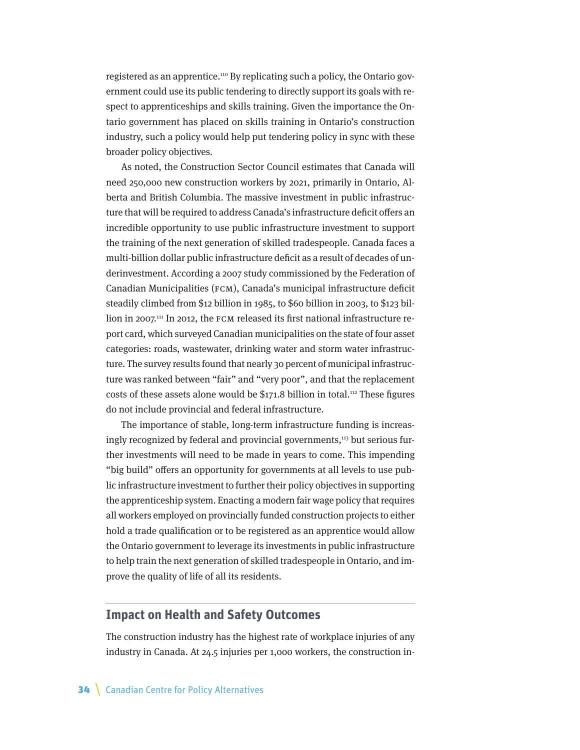registered as an apprentice.<sup>110</sup> By replicating such a policy, the Ontario government could use its public tendering to directly support its goals with respect to apprenticeships and skills training. Given the importance the Ontario government has placed on skills training in Ontario's construction industry, such a policy would help put tendering policy in sync with these broader policy objectives.

As noted, the Construction Sector Council estimates that Canada will need 250,000 new construction workers by 2021, primarily in Ontario, Alberta and British Columbia. The massive investment in public infrastructure that will be required to address Canada's infrastructure deficit offers an incredible opportunity to use public infrastructure investment to support the training of the next generation of skilled tradespeople. Canada faces a multi-billion dollar public infrastructure deficit as a result of decades of underinvestment. According a 2007 study commissioned by the Federation of Canadian Municipalities (FCM), Canada's municipal infrastructure deficit steadily climbed from \$12 billion in 1985, to \$60 billion in 2003, to \$123 billion in 2007.<sup>111</sup> In 2012, the FCM released its first national infrastructure report card, which surveyed Canadian municipalities on the state of four asset categories: roads, wastewater, drinking water and storm water infrastructure. The survey results found that nearly 30 percent of municipal infrastructure was ranked between "fair" and "very poor", and that the replacement costs of these assets alone would be  $$171.8$  billion in total.<sup>112</sup> These figures do not include provincial and federal infrastructure.

The importance of stable, long-term infrastructure funding is increasingly recognized by federal and provincial governments,<sup>113</sup> but serious further investments will need to be made in years to come. This impending "big build" offers an opportunity for governments at all levels to use public infrastructure investment to further their policy objectives in supporting the apprenticeship system. Enacting a modern fair wage policy that requires all workers employed on provincially funded construction projects to either hold a trade qualification or to be registered as an apprentice would allow the Ontario government to leverage its investments in public infrastructure to help train the next generation of skilled tradespeople in Ontario, and improve the quality of life of all its residents.

#### **Impact on Health and Safety Outcomes**

The construction industry has the highest rate of workplace injuries of any industry in Canada. At 24.5 injuries per 1,000 workers, the construction in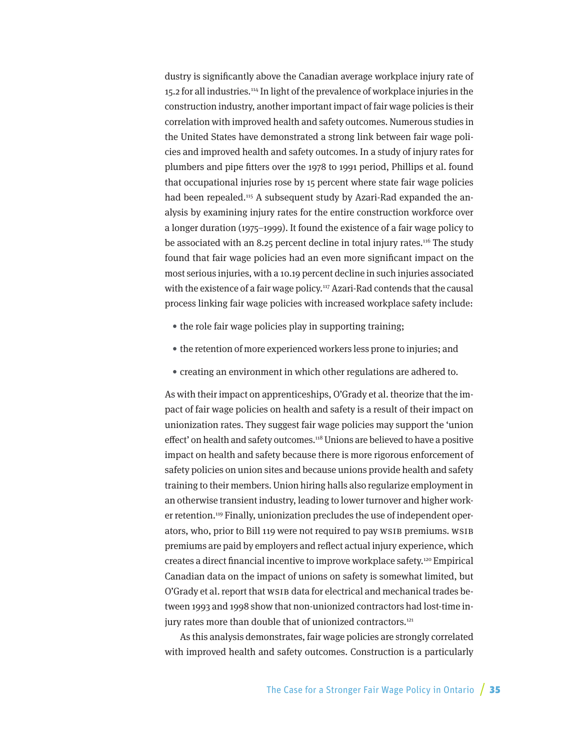dustry is significantly above the Canadian average workplace injury rate of 15.2 for all industries.114 In light of the prevalence of workplace injuries in the construction industry, another important impact of fair wage policies is their correlation with improved health and safety outcomes. Numerous studies in the United States have demonstrated a strong link between fair wage policies and improved health and safety outcomes. In a study of injury rates for plumbers and pipe fitters over the 1978 to 1991 period, Phillips et al. found that occupational injuries rose by 15 percent where state fair wage policies had been repealed.<sup>115</sup> A subsequent study by Azari-Rad expanded the analysis by examining injury rates for the entire construction workforce over a longer duration (1975–1999). It found the existence of a fair wage policy to be associated with an 8.25 percent decline in total injury rates.<sup>116</sup> The study found that fair wage policies had an even more significant impact on the most serious injuries, with a 10.19 percent decline in such injuries associated with the existence of a fair wage policy.<sup>117</sup> Azari-Rad contends that the causal process linking fair wage policies with increased workplace safety include:

- the role fair wage policies play in supporting training;
- the retention of more experienced workers less prone to injuries; and
- creating an environment in which other regulations are adhered to.

As with their impact on apprenticeships, O'Grady et al. theorize that the impact of fair wage policies on health and safety is a result of their impact on unionization rates. They suggest fair wage policies may support the 'union effect' on health and safety outcomes.<sup>118</sup> Unions are believed to have a positive impact on health and safety because there is more rigorous enforcement of safety policies on union sites and because unions provide health and safety training to their members. Union hiring halls also regularize employment in an otherwise transient industry, leading to lower turnover and higher worker retention.<sup>119</sup> Finally, unionization precludes the use of independent operators, who, prior to Bill 119 were not required to pay WSIB premiums. WSIB premiums are paid by employers and reflect actual injury experience, which creates a direct financial incentive to improve workplace safety.120 Empirical Canadian data on the impact of unions on safety is somewhat limited, but O'Grady et al. report that WSIB data for electrical and mechanical trades between 1993 and 1998 show that non-unionized contractors had lost-time injury rates more than double that of unionized contractors.<sup>121</sup>

As this analysis demonstrates, fair wage policies are strongly correlated with improved health and safety outcomes. Construction is a particularly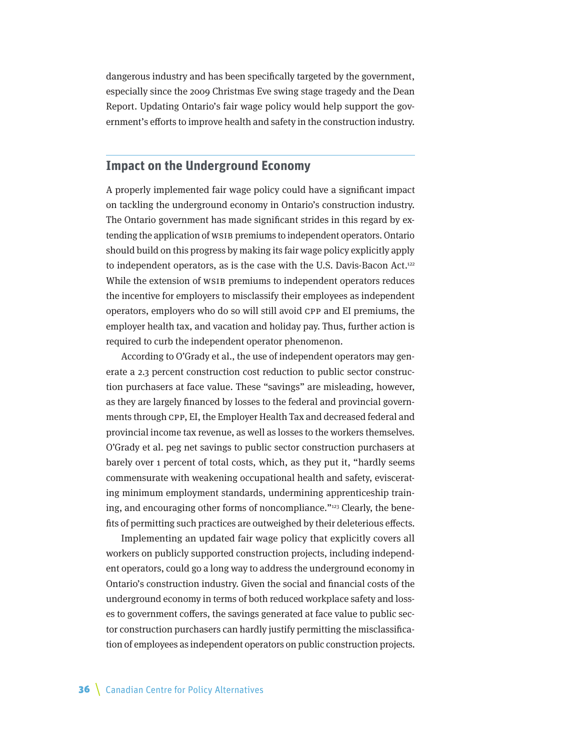dangerous industry and has been specifically targeted by the government, especially since the 2009 Christmas Eve swing stage tragedy and the Dean Report. Updating Ontario's fair wage policy would help support the government's efforts to improve health and safety in the construction industry.

#### **Impact on the Underground Economy**

A properly implemented fair wage policy could have a significant impact on tackling the underground economy in Ontario's construction industry. The Ontario government has made significant strides in this regard by extending the application of WSIB premiums to independent operators. Ontario should build on this progress by making its fair wage policy explicitly apply to independent operators, as is the case with the U.S. Davis-Bacon Act.<sup>122</sup> While the extension of WSIB premiums to independent operators reduces the incentive for employers to misclassify their employees as independent operators, employers who do so will still avoid CPP and EI premiums, the employer health tax, and vacation and holiday pay. Thus, further action is required to curb the independent operator phenomenon.

According to O'Grady et al., the use of independent operators may generate a 2.3 percent construction cost reduction to public sector construction purchasers at face value. These "savings" are misleading, however, as they are largely financed by losses to the federal and provincial governments through CPP, EI, the Employer Health Tax and decreased federal and provincial income tax revenue, as well as losses to the workers themselves. O'Grady et al. peg net savings to public sector construction purchasers at barely over 1 percent of total costs, which, as they put it, "hardly seems commensurate with weakening occupational health and safety, eviscerating minimum employment standards, undermining apprenticeship training, and encouraging other forms of noncompliance."123 Clearly, the benefits of permitting such practices are outweighed by their deleterious effects.

Implementing an updated fair wage policy that explicitly covers all workers on publicly supported construction projects, including independent operators, could go a long way to address the underground economy in Ontario's construction industry. Given the social and financial costs of the underground economy in terms of both reduced workplace safety and losses to government coffers, the savings generated at face value to public sector construction purchasers can hardly justify permitting the misclassification of employees as independent operators on public construction projects.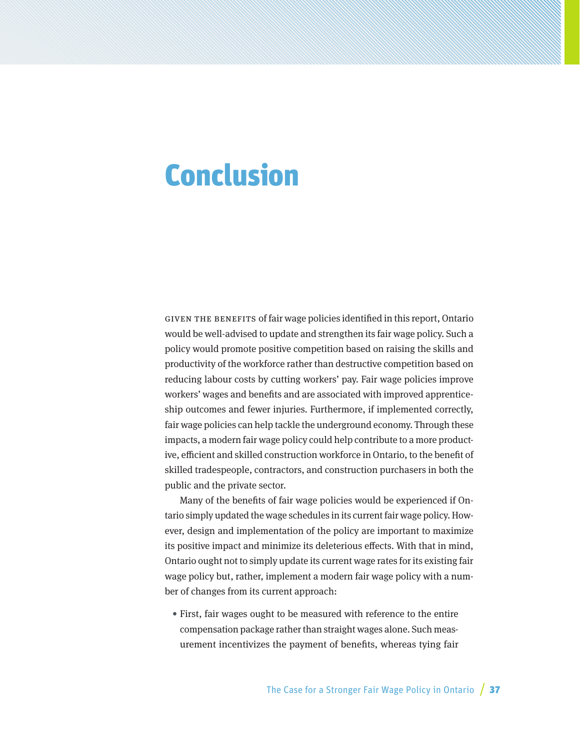## Conclusion

Given the benefits of fair wage policies identified in this report, Ontario would be well-advised to update and strengthen its fair wage policy. Such a policy would promote positive competition based on raising the skills and productivity of the workforce rather than destructive competition based on reducing labour costs by cutting workers' pay. Fair wage policies improve workers' wages and benefits and are associated with improved apprenticeship outcomes and fewer injuries. Furthermore, if implemented correctly, fair wage policies can help tackle the underground economy. Through these impacts, a modern fair wage policy could help contribute to a more productive, efficient and skilled construction workforce in Ontario, to the benefit of skilled tradespeople, contractors, and construction purchasers in both the public and the private sector.

Many of the benefits of fair wage policies would be experienced if Ontario simply updated the wage schedules in its current fair wage policy. However, design and implementation of the policy are important to maximize its positive impact and minimize its deleterious effects. With that in mind, Ontario ought not to simply update its current wage rates for its existing fair wage policy but, rather, implement a modern fair wage policy with a number of changes from its current approach:

• First, fair wages ought to be measured with reference to the entire compensation package rather than straight wages alone. Such measurement incentivizes the payment of benefits, whereas tying fair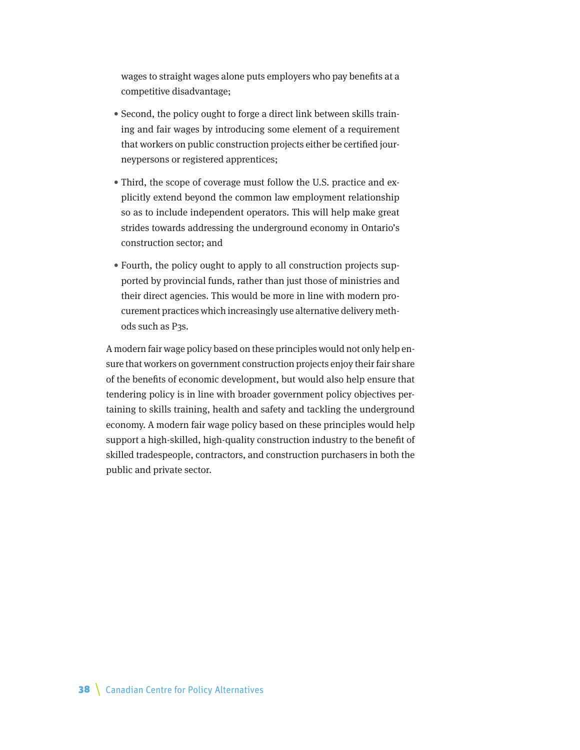wages to straight wages alone puts employers who pay benefits at a competitive disadvantage;

- • Second, the policy ought to forge a direct link between skills training and fair wages by introducing some element of a requirement that workers on public construction projects either be certified journeypersons or registered apprentices;
- Third, the scope of coverage must follow the U.S. practice and explicitly extend beyond the common law employment relationship so as to include independent operators. This will help make great strides towards addressing the underground economy in Ontario's construction sector; and
- • Fourth, the policy ought to apply to all construction projects supported by provincial funds, rather than just those of ministries and their direct agencies. This would be more in line with modern procurement practices which increasingly use alternative delivery methods such as P3s.

A modern fair wage policy based on these principles would not only help ensure that workers on government construction projects enjoy their fair share of the benefits of economic development, but would also help ensure that tendering policy is in line with broader government policy objectives pertaining to skills training, health and safety and tackling the underground economy. A modern fair wage policy based on these principles would help support a high-skilled, high-quality construction industry to the benefit of skilled tradespeople, contractors, and construction purchasers in both the public and private sector.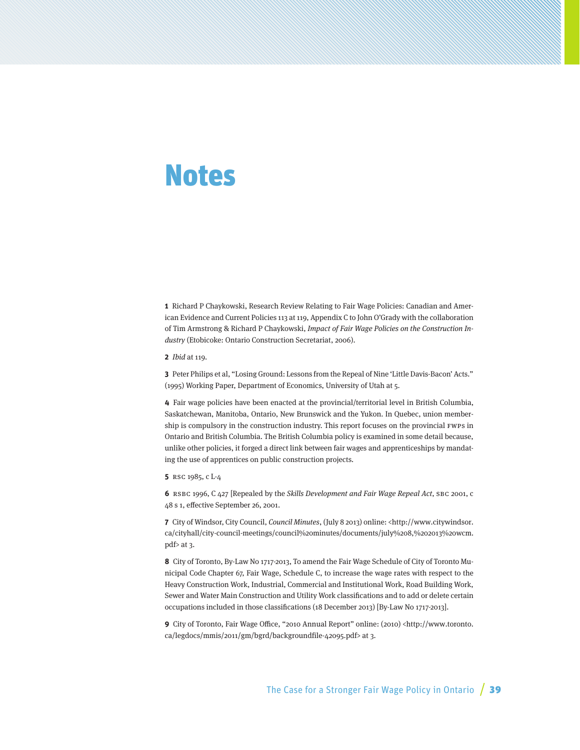## Notes

**1** Richard P Chaykowski, Research Review Relating to Fair Wage Policies: Canadian and American Evidence and Current Policies 113 at 119, Appendix C to John O'Grady with the collaboration of Tim Armstrong & Richard P Chaykowski, Impact of Fair Wage Policies on the Construction Industry (Etobicoke: Ontario Construction Secretariat, 2006).

**2** Ibid at 119.

**3** Peter Philips et al, "Losing Ground: Lessons from the Repeal of Nine 'Little Davis-Bacon' Acts." (1995) Working Paper, Department of Economics, University of Utah at 5.

**4** Fair wage policies have been enacted at the provincial/territorial level in British Columbia, Saskatchewan, Manitoba, Ontario, New Brunswick and the Yukon. In Quebec, union membership is compulsory in the construction industry. This report focuses on the provincial FWPs in Ontario and British Columbia. The British Columbia policy is examined in some detail because, unlike other policies, it forged a direct link between fair wages and apprenticeships by mandating the use of apprentices on public construction projects.

**5** RSC 1985, c L-4

**6** RSBC 1996, C 427 [Repealed by the Skills Development and Fair Wage Repeal Act, SBC 2001, c 48 s 1, effective September 26, 2001.

**7** City of Windsor, City Council, Council Minutes, (July 8 2013) online: <http://www.citywindsor. ca/cityhall/city-council-meetings/council%20minutes/documents/july%208,%202013%20wcm. pdf> at 3.

**8** City of Toronto, By-Law No 1717-2013, To amend the Fair Wage Schedule of City of Toronto Municipal Code Chapter 67, Fair Wage, Schedule C, to increase the wage rates with respect to the Heavy Construction Work, Industrial, Commercial and Institutional Work, Road Building Work, Sewer and Water Main Construction and Utility Work classifications and to add or delete certain occupations included in those classifications (18 December 2013) [By-Law No 1717-2013].

**9** City of Toronto, Fair Wage Office, "2010 Annual Report" online: (2010) <http://www.toronto. ca/legdocs/mmis/2011/gm/bgrd/backgroundfile-42095.pdf> at 3.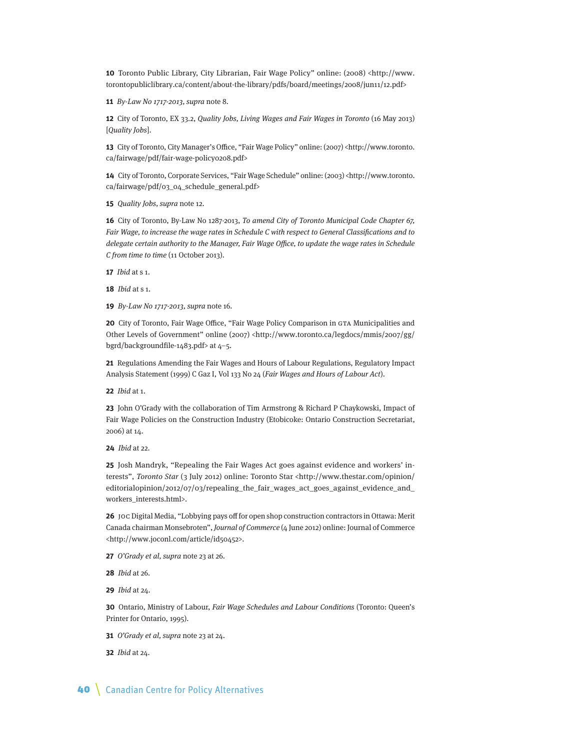**10** Toronto Public Library, City Librarian, Fair Wage Policy" online: (2008) <http://www. torontopubliclibrary.ca/content/about-the-library/pdfs/board/meetings/2008/jun11/12.pdf>

**11** By-Law No 1717-2013, supra note 8.

**12** City of Toronto, EX 33.2, Quality Jobs, Living Wages and Fair Wages in Toronto (16 May 2013) [Quality Jobs].

**13** City of Toronto, City Manager's Office, "Fair Wage Policy" online: (2007) <http://www.toronto. ca/fairwage/pdf/fair-wage-policy0208.pdf>

**14** City of Toronto, Corporate Services, "Fair Wage Schedule" online: (2003) <http://www.toronto. ca/fairwage/pdf/03\_04\_schedule\_general.pdf>

**15** Quality Jobs, supra note 12.

**16** City of Toronto, By-Law No 1287-2013, To amend City of Toronto Municipal Code Chapter 67, Fair Wage, to increase the wage rates in Schedule C with respect to General Classifications and to delegate certain authority to the Manager, Fair Wage Office, to update the wage rates in Schedule C from time to time (11 October 2013).

**17** Ibid at s 1.

**18** Ibid at s 1.

**19** By-Law No 1717-2013, supra note 16.

**20** City of Toronto, Fair Wage Office, "Fair Wage Policy Comparison in GTA Municipalities and Other Levels of Government" online (2007) <http://www.toronto.ca/legdocs/mmis/2007/gg/ bgrd/backgroundfile-1483.pdf> at 4–5.

**21** Regulations Amending the Fair Wages and Hours of Labour Regulations, Regulatory Impact Analysis Statement (1999) C Gaz I, Vol 133 No 24 (Fair Wages and Hours of Labour Act).

**22** Ibid at 1.

**23** John O'Grady with the collaboration of Tim Armstrong & Richard P Chaykowski, Impact of Fair Wage Policies on the Construction Industry (Etobicoke: Ontario Construction Secretariat, 2006) at 14.

**24** Ibid at 22.

**25** Josh Mandryk, "Repealing the Fair Wages Act goes against evidence and workers' interests", Toronto Star (3 July 2012) online: Toronto Star <http://www.thestar.com/opinion/ editorialopinion/2012/07/03/repealing\_the\_fair\_wages\_act\_goes\_against\_evidence\_and\_ workers\_interests.html>.

**26** JOC Digital Media, "Lobbying pays off for open shop construction contractors in Ottawa: Merit Canada chairman Monsebroten", Journal of Commerce (4 June 2012) online: Journal of Commerce <http://www.joconl.com/article/id50452>.

**27** O'Grady et al, supra note 23 at 26.

**28** Ibid at 26.

**29** Ibid at 24.

**30** Ontario, Ministry of Labour, Fair Wage Schedules and Labour Conditions (Toronto: Queen's Printer for Ontario, 1995).

**31** O'Grady et al, supra note 23 at 24.

**32** Ibid at 24.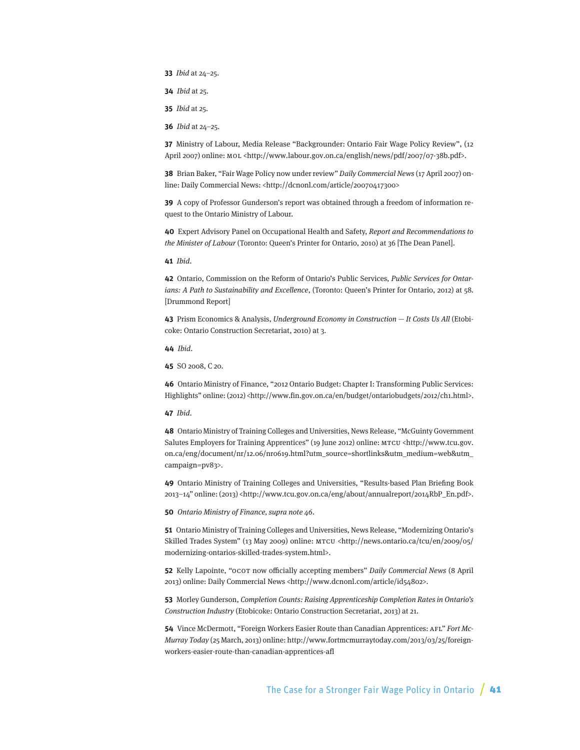- **33** Ibid at 24–25.
- **34** Ibid at 25.
- **35** Ibid at 25.
- **36** Ibid at 24–25.

**37** Ministry of Labour, Media Release "Backgrounder: Ontario Fair Wage Policy Review", (12 April 2007) online: MOL <http://www.labour.gov.on.ca/english/news/pdf/2007/07-38b.pdf>.

**38** Brian Baker, "Fair Wage Policy now under review" Daily Commercial News (17 April 2007) online: Daily Commercial News: <http://dcnonl.com/article/20070417300>

**39** A copy of Professor Gunderson's report was obtained through a freedom of information request to the Ontario Ministry of Labour.

**40** Expert Advisory Panel on Occupational Health and Safety, Report and Recommendations to the Minister of Labour (Toronto: Queen's Printer for Ontario, 2010) at 36 [The Dean Panel].

**41** Ibid.

**42** Ontario, Commission on the Reform of Ontario's Public Services, Public Services for Ontarians: A Path to Sustainability and Excellence, (Toronto: Queen's Printer for Ontario, 2012) at 58. [Drummond Report]

**43** Prism Economics & Analysis, Underground Economy in Construction — It Costs Us All (Etobicoke: Ontario Construction Secretariat, 2010) at 3.

**44** Ibid.

**45** SO 2008, C 20.

**46** Ontario Ministry of Finance, "2012 Ontario Budget: Chapter I: Transforming Public Services: Highlights" online: (2012) <http://www.fin.gov.on.ca/en/budget/ontariobudgets/2012/ch1.html>.

#### **47** Ibid.

**48** Ontario Ministry of Training Colleges and Universities, News Release, "McGuinty Government Salutes Employers for Training Apprentices" (19 June 2012) online: MTCU <http://www.tcu.gov. on.ca/eng/document/nr/12.06/nr0619.html?utm\_source=shortlinks&utm\_medium=web&utm\_ campaign=pv83>.

**49** Ontario Ministry of Training Colleges and Universities, "Results-based Plan Briefing Book 2013–14" online: (2013) <http://www.tcu.gov.on.ca/eng/about/annualreport/2014RbP\_En.pdf>.

**50** Ontario Ministry of Finance, supra note 46.

**51** Ontario Ministry of Training Colleges and Universities, News Release, "Modernizing Ontario's Skilled Trades System" (13 May 2009) online: MTCU <http://news.ontario.ca/tcu/en/2009/05/ modernizing-ontarios-skilled-trades-system.html>.

**52** Kelly Lapointe, "OCOT now officially accepting members" Daily Commercial News (8 April 2013) online: Daily Commercial News <http://www.dcnonl.com/article/id54802>.

**53** Morley Gunderson, Completion Counts: Raising Apprenticeship Completion Rates in Ontario's Construction Industry (Etobicoke: Ontario Construction Secretariat, 2013) at 21.

**54** Vince McDermott, "Foreign Workers Easier Route than Canadian Apprentices: AFL" Fort Mc-Murray Today (25 March, 2013) online: http://www.fortmcmurraytoday.com/2013/03/25/foreignworkers-easier-route-than-canadian-apprentices-afl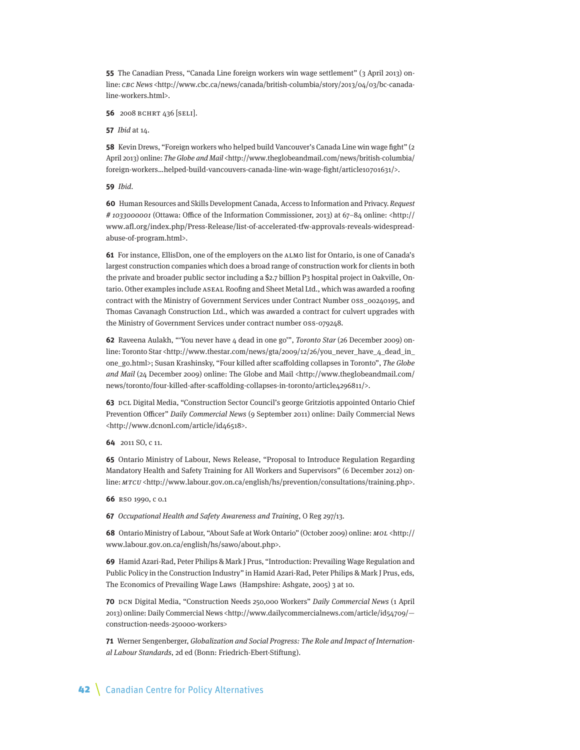**55** The Canadian Press, "Canada Line foreign workers win wage settlement" (3 April 2013) online: CBC News <http://www.cbc.ca/news/canada/british-columbia/story/2013/04/03/bc-canadaline-workers.html>.

**56**  2008 BCHRT 436 [SELI].

**57** Ibid at 14.

**58** Kevin Drews, "Foreign workers who helped build Vancouver's Canada Line win wage fight" (2 April 2013) online: The Globe and Mail <http://www.theglobeandmail.com/news/british-columbia/ foreign-workers…helped-build-vancouvers-canada-line-win-wage-fight/article10701631/>.

**59** Ibid.

**60** Human Resources and Skills Development Canada, Access to Information and Privacy. Request # 1033000001 (Ottawa: Office of the Information Commissioner, 2013) at 67–84 online: <http:// www.afl.org/index.php/Press-Release/list-of-accelerated-tfw-approvals-reveals-widespreadabuse-of-program.html>.

**61** For instance, EllisDon, one of the employers on the ALMO list for Ontario, is one of Canada's largest construction companies which does a broad range of construction work for clients in both the private and broader public sector including a \$2.7 billion P3 hospital project in Oakville, Ontario. Other examples include ASEAL Roofing and Sheet Metal Ltd., which was awarded a roofing contract with the Ministry of Government Services under Contract Number OSS\_00240195, and Thomas Cavanagh Construction Ltd., which was awarded a contract for culvert upgrades with the Ministry of Government Services under contract number OSS-079248.

**62** Raveena Aulakh, "'You never have 4 dead in one go'", Toronto Star (26 December 2009) online: Toronto Star <http://www.thestar.com/news/gta/2009/12/26/you\_never\_have\_4\_dead\_in\_ one\_go.html>; Susan Krashinsky, "Four killed after scaffolding collapses in Toronto", The Globe and Mail (24 December 2009) online: The Globe and Mail <http://www.theglobeandmail.com/ news/toronto/four-killed-after-scaffolding-collapses-in-toronto/article4296811/>.

**63** DCL Digital Media, "Construction Sector Council's george Gritziotis appointed Ontario Chief Prevention Officer" Daily Commercial News (9 September 2011) online: Daily Commercial News <http://www.dcnonl.com/article/id46518>.

**64**  2011 SO, c 11.

**65** Ontario Ministry of Labour, News Release, "Proposal to Introduce Regulation Regarding Mandatory Health and Safety Training for All Workers and Supervisors" (6 December 2012) online:  $MTCU$  <http://www.labour.gov.on.ca/english/hs/prevention/consultations/training.php>.

**66** RSO 1990, c 0.1

**67** Occupational Health and Safety Awareness and Training, O Reg 297/13.

**68** Ontario Ministry of Labour, "About Safe at Work Ontario" (October 2009) online: MOL <http:// www.labour.gov.on.ca/english/hs/sawo/about.php>.

**69** Hamid Azari-Rad, Peter Philips & Mark J Prus, "Introduction: Prevailing Wage Regulation and Public Policy in the Construction Industry" in Hamid Azari-Rad, Peter Philips & Mark J Prus, eds, The Economics of Prevailing Wage Laws (Hampshire: Ashgate, 2005) 3 at 10.

**70** DCN Digital Media, "Construction Needs 250,000 Workers" Daily Commercial News (1 April 2013) online: Daily Commercial News <http://www.dailycommercialnews.com/article/id54709/construction-needs-250000-workers>

**71** Werner Sengenberger, Globalization and Social Progress: The Role and Impact of International Labour Standards, 2d ed (Bonn: Friedrich-Ebert-Stiftung).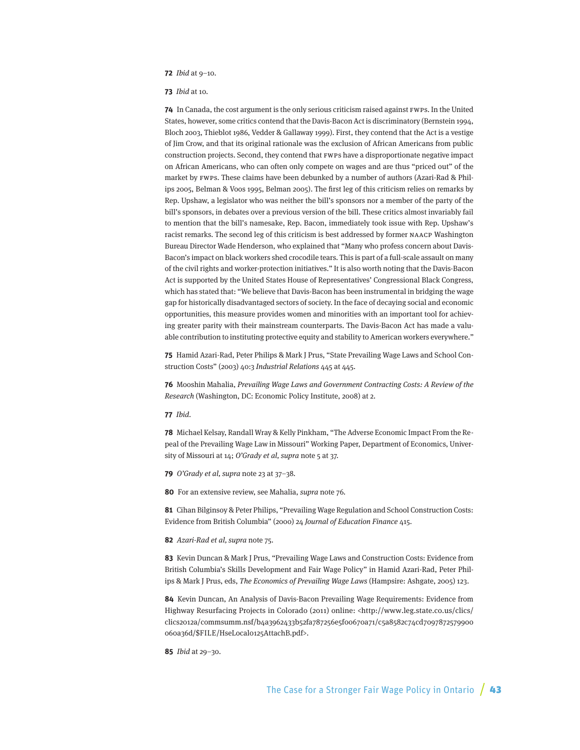#### **72** Ibid at 9–10.

**73** Ibid at 10.

**74** In Canada, the cost argument is the only serious criticism raised against FWPs. In the United States, however, some critics contend that the Davis-Bacon Act is discriminatory (Bernstein 1994, Bloch 2003, Thieblot 1986, Vedder & Gallaway 1999). First, they contend that the Act is a vestige of Jim Crow, and that its original rationale was the exclusion of African Americans from public construction projects. Second, they contend that FWPs have a disproportionate negative impact on African Americans, who can often only compete on wages and are thus "priced out" of the market by FWPs. These claims have been debunked by a number of authors (Azari-Rad & Philips 2005, Belman & Voos 1995, Belman 2005). The first leg of this criticism relies on remarks by Rep. Upshaw, a legislator who was neither the bill's sponsors nor a member of the party of the bill's sponsors, in debates over a previous version of the bill. These critics almost invariably fail to mention that the bill's namesake, Rep. Bacon, immediately took issue with Rep. Upshaw's racist remarks. The second leg of this criticism is best addressed by former NAACP Washington Bureau Director Wade Henderson, who explained that "Many who profess concern about Davis-Bacon's impact on black workers shed crocodile tears. This is part of a full-scale assault on many of the civil rights and worker-protection initiatives." It is also worth noting that the Davis-Bacon Act is supported by the United States House of Representatives' Congressional Black Congress, which has stated that: "We believe that Davis-Bacon has been instrumental in bridging the wage gap for historically disadvantaged sectors of society. In the face of decaying social and economic opportunities, this measure provides women and minorities with an important tool for achieving greater parity with their mainstream counterparts. The Davis-Bacon Act has made a valuable contribution to instituting protective equity and stability to American workers everywhere."

**75** Hamid Azari-Rad, Peter Philips & Mark J Prus, "State Prevailing Wage Laws and School Construction Costs" (2003) 40:3 Industrial Relations 445 at 445.

**76** Mooshin Mahalia, Prevailing Wage Laws and Government Contracting Costs: A Review of the Research (Washington, DC: Economic Policy Institute, 2008) at 2.

#### **77** Ibid.

**78** Michael Kelsay, Randall Wray & Kelly Pinkham, "The Adverse Economic Impact From the Repeal of the Prevailing Wage Law in Missouri" Working Paper, Department of Economics, University of Missouri at 14; O'Grady et al, supra note 5 at 37.

**79** O'Grady et al, supra note 23 at 37–38.

**80** For an extensive review, see Mahalia, supra note 76.

**81** Cihan Bilginsoy & Peter Philips, "Prevailing Wage Regulation and School Construction Costs: Evidence from British Columbia" (2000) 24 Journal of Education Finance 415.

#### **82** Azari-Rad et al, supra note 75.

**83** Kevin Duncan & Mark J Prus, "Prevailing Wage Laws and Construction Costs: Evidence from British Columbia's Skills Development and Fair Wage Policy" in Hamid Azari-Rad, Peter Philips & Mark J Prus, eds, The Economics of Prevailing Wage Laws (Hampsire: Ashgate, 2005) 123.

**84** Kevin Duncan, An Analysis of Davis-Bacon Prevailing Wage Requirements: Evidence from Highway Resurfacing Projects in Colorado (2011) online: <http://www.leg.state.co.us/clics/ clics2012a/commsumm.nsf/b4a3962433b52fa787256e5f00670a71/c5a8582c74cd7097872579900 060a36d/\$FILE/HseLocal0125AttachB.pdf>.

**85** Ibid at 29–30.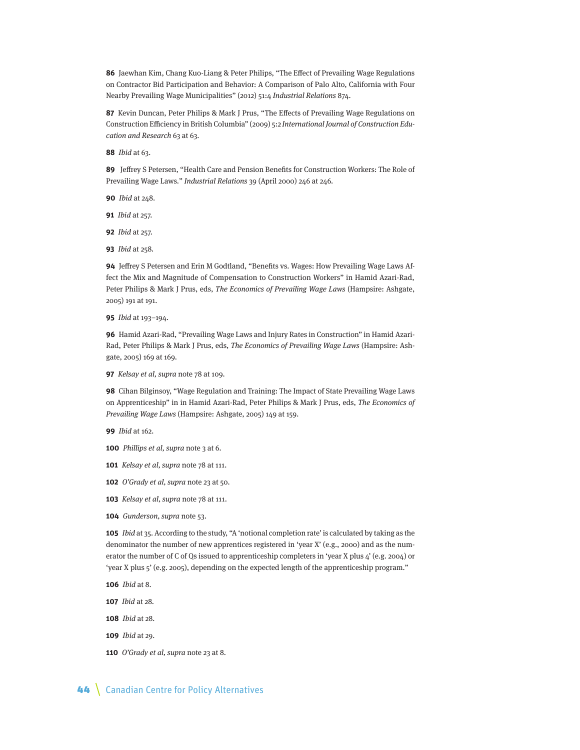Jaewhan Kim, Chang Kuo-Liang & Peter Philips, "The Effect of Prevailing Wage Regulations on Contractor Bid Participation and Behavior: A Comparison of Palo Alto, California with Four Nearby Prevailing Wage Municipalities" (2012) 51:4 Industrial Relations 874.

Kevin Duncan, Peter Philips & Mark J Prus, "The Effects of Prevailing Wage Regulations on Construction Efficiency in British Columbia" (2009) 5:2 International Journal of Construction Education and Research 63 at 63.

Ibid at 63.

 Jeffrey S Petersen, "Health Care and Pension Benefits for Construction Workers: The Role of Prevailing Wage Laws." Industrial Relations 39 (April 2000) 246 at 246.

Ibid at 248.

Ibid at 257.

Ibid at 257.

Ibid at 258.

Jeffrey S Petersen and Erin M Godtland, "Benefits vs. Wages: How Prevailing Wage Laws Affect the Mix and Magnitude of Compensation to Construction Workers" in Hamid Azari-Rad, Peter Philips & Mark J Prus, eds, The Economics of Prevailing Wage Laws (Hampsire: Ashgate, 2005) 191 at 191.

Ibid at 193–194.

Hamid Azari-Rad, "Prevailing Wage Laws and Injury Rates in Construction" in Hamid Azari-Rad, Peter Philips & Mark J Prus, eds, The Economics of Prevailing Wage Laws (Hampsire: Ashgate, 2005) 169 at 169.

Kelsay et al, supra note 78 at 109.

Cihan Bilginsoy, "Wage Regulation and Training: The Impact of State Prevailing Wage Laws on Apprenticeship" in in Hamid Azari-Rad, Peter Philips & Mark J Prus, eds, The Economics of Prevailing Wage Laws (Hampsire: Ashgate, 2005) 149 at 159.

Ibid at 162.

*Phillips et al, supra* note 3 at 6.

*Kelsay et al, supra* note 78 at 111.

O'Grady et al, supra note 23 at 50.

Kelsay et al, supra note 78 at 111.

Gunderson, supra note 53.

Ibid at 35. According to the study, "A 'notional completion rate' is calculated by taking as the denominator the number of new apprentices registered in 'year X' (e.g., 2000) and as the numerator the number of C of Qs issued to apprenticeship completers in 'year X plus 4' (e.g. 2004) or 'year X plus 5' (e.g. 2005), depending on the expected length of the apprenticeship program."

Ibid at 8.

Ibid at 28.

Ibid at 28.

Ibid at 29.

O'Grady et al, supra note 23 at 8.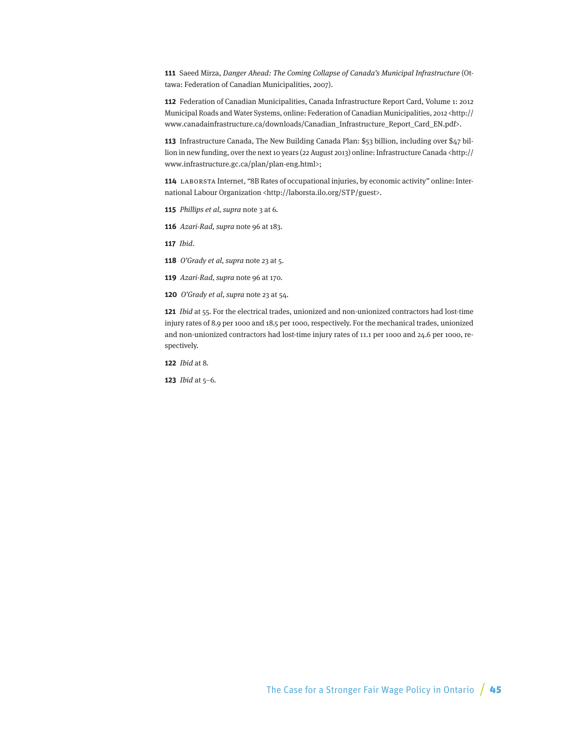**111** Saeed Mirza, Danger Ahead: The Coming Collapse of Canada's Municipal Infrastructure (Ottawa: Federation of Canadian Municipalities, 2007).

**112** Federation of Canadian Municipalities, Canada Infrastructure Report Card, Volume 1: 2012 Municipal Roads and Water Systems, online: Federation of Canadian Municipalities, 2012 <http:// www.canadainfrastructure.ca/downloads/Canadian\_Infrastructure\_Report\_Card\_EN.pdf>.

**113** Infrastructure Canada, The New Building Canada Plan: \$53 billion, including over \$47 billion in new funding, over the next 10 years (22 August 2013) online: Infrastructure Canada <http:// www.infrastructure.gc.ca/plan/plan-eng.html>;

**114** LABORSTA Internet, "8B Rates of occupational injuries, by economic activity" online: International Labour Organization <http://laborsta.ilo.org/STP/guest>.

- **115** *Phillips et al, supra* note 3 at 6.
- **116** Azari-Rad, supra note 96 at 183.
- **117** Ibid.
- **118** O'Grady et al, supra note 23 at 5.
- **119** Azari-Rad, supra note 96 at 170.
- **120** O'Grady et al, supra note 23 at 54.

**121** Ibid at 55. For the electrical trades, unionized and non-unionized contractors had lost-time injury rates of 8.9 per 1000 and 18.5 per 1000, respectively. For the mechanical trades, unionized and non-unionized contractors had lost-time injury rates of 11.1 per 1000 and 24.6 per 1000, respectively.

**122** Ibid at 8.

**123** Ibid at 5–6.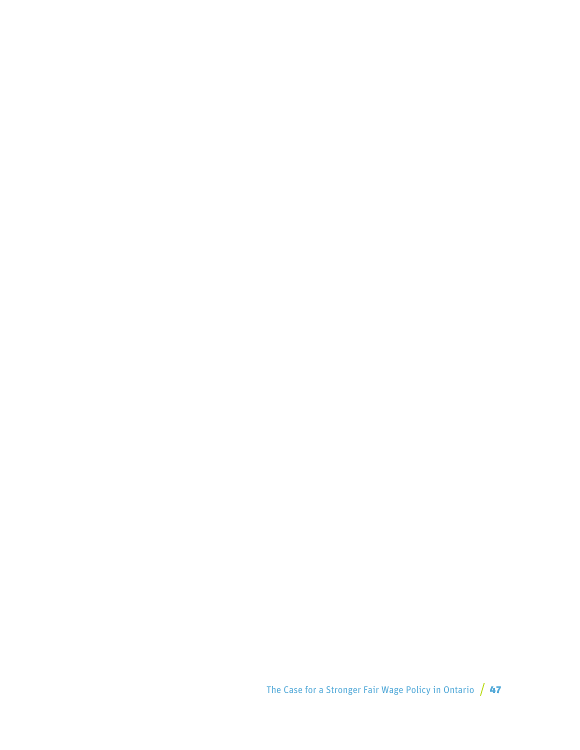The Case for a Stronger Fair Wage Policy in Ontario  $/$  47